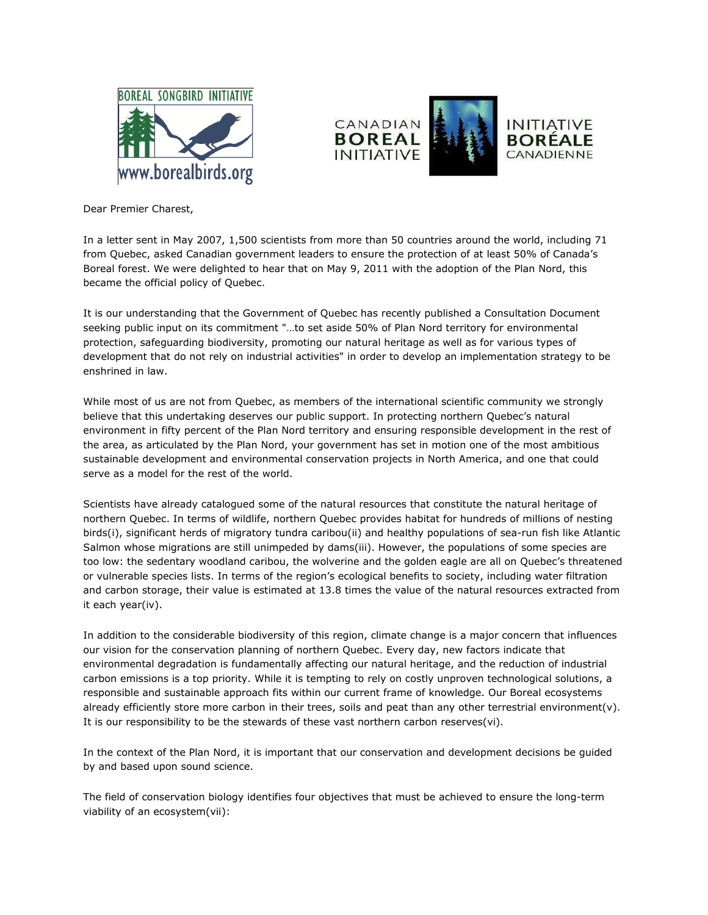



Dear Premier Charest,

In a letter sent in May 2007, 1,500 scientists from more than 50 countries around the world, including 71 from Quebec, asked Canadian government leaders to ensure the protection of at least 50% of Canada's Boreal forest. We were delighted to hear that on May 9, 2011 with the adoption of the Plan Nord, this became the official policy of Quebec.

It is our understanding that the Government of Quebec has recently published a Consultation Document seeking public input on its commitment "…to set aside 50% of Plan Nord territory for environmental protection, safeguarding biodiversity, promoting our natural heritage as well as for various types of development that do not rely on industrial activities" in order to develop an implementation strategy to be enshrined in law.

While most of us are not from Quebec, as members of the international scientific community we strongly believe that this undertaking deserves our public support. In protecting northern Quebec's natural environment in fifty percent of the Plan Nord territory and ensuring responsible development in the rest of the area, as articulated by the Plan Nord, your government has set in motion one of the most ambitious sustainable development and environmental conservation projects in North America, and one that could serve as a model for the rest of the world.

Scientists have already catalogued some of the natural resources that constitute the natural heritage of northern Quebec. In terms of wildlife, northern Quebec provides habitat for hundreds of millions of nesting birds(i), significant herds of migratory tundra caribou(ii) and healthy populations of sea-run fish like Atlantic Salmon whose migrations are still unimpeded by dams(iii). However, the populations of some species are too low: the sedentary woodland caribou, the wolverine and the golden eagle are all on Quebec's threatened or vulnerable species lists. In terms of the region's ecological benefits to society, including water filtration and carbon storage, their value is estimated at 13.8 times the value of the natural resources extracted from it each year(iv).

In addition to the considerable biodiversity of this region, climate change is a major concern that influences our vision for the conservation planning of northern Quebec. Every day, new factors indicate that environmental degradation is fundamentally affecting our natural heritage, and the reduction of industrial carbon emissions is a top priority. While it is tempting to rely on costly unproven technological solutions, a responsible and sustainable approach fits within our current frame of knowledge. Our Boreal ecosystems already efficiently store more carbon in their trees, soils and peat than any other terrestrial environment(v). It is our responsibility to be the stewards of these vast northern carbon reserves(vi).

In the context of the Plan Nord, it is important that our conservation and development decisions be guided by and based upon sound science.

The field of conservation biology identifies four objectives that must be achieved to ensure the long-term viability of an ecosystem(vii):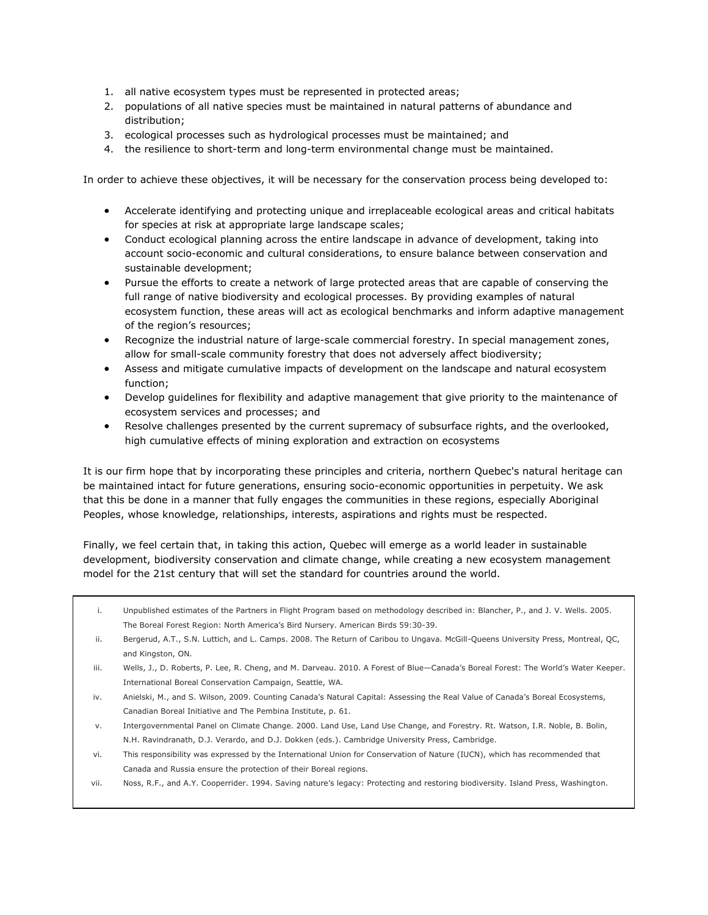- 1. all native ecosystem types must be represented in protected areas;
- 2. populations of all native species must be maintained in natural patterns of abundance and distribution;
- 3. ecological processes such as hydrological processes must be maintained; and
- 4. the resilience to short-term and long-term environmental change must be maintained.

In order to achieve these objectives, it will be necessary for the conservation process being developed to:

- Accelerate identifying and protecting unique and irreplaceable ecological areas and critical habitats for species at risk at appropriate large landscape scales;
- Conduct ecological planning across the entire landscape in advance of development, taking into account socio-economic and cultural considerations, to ensure balance between conservation and sustainable development;
- Pursue the efforts to create a network of large protected areas that are capable of conserving the full range of native biodiversity and ecological processes. By providing examples of natural ecosystem function, these areas will act as ecological benchmarks and inform adaptive management of the region's resources;
- Recognize the industrial nature of large-scale commercial forestry. In special management zones, allow for small-scale community forestry that does not adversely affect biodiversity;
- Assess and mitigate cumulative impacts of development on the landscape and natural ecosystem function;
- Develop guidelines for flexibility and adaptive management that give priority to the maintenance of ecosystem services and processes; and
- Resolve challenges presented by the current supremacy of subsurface rights, and the overlooked, high cumulative effects of mining exploration and extraction on ecosystems

It is our firm hope that by incorporating these principles and criteria, northern Quebec's natural heritage can be maintained intact for future generations, ensuring socio-economic opportunities in perpetuity. We ask that this be done in a manner that fully engages the communities in these regions, especially Aboriginal Peoples, whose knowledge, relationships, interests, aspirations and rights must be respected.

Finally, we feel certain that, in taking this action, Quebec will emerge as a world leader in sustainable development, biodiversity conservation and climate change, while creating a new ecosystem management model for the 21st century that will set the standard for countries around the world.

- i. Unpublished estimates of the Partners in Flight Program based on methodology described in: Blancher, P., and J. V. Wells. 2005. The Boreal Forest Region: North America's Bird Nursery. American Birds 59:30-39.
- ii. Bergerud, A.T., S.N. Luttich, and L. Camps. 2008. The Return of Caribou to Ungava. McGill-Queens University Press, Montreal, QC, and Kingston, ON.
- iii. Wells, J., D. Roberts, P. Lee, R. Cheng, and M. Darveau. 2010. A Forest of Blue—Canada's Boreal Forest: The World's Water Keeper. International Boreal Conservation Campaign, Seattle, WA.
- iv. Anielski, M., and S. Wilson, 2009. Counting Canada's Natural Capital: Assessing the Real Value of Canada's Boreal Ecosystems, Canadian Boreal Initiative and The Pembina Institute, p. 61.
- v. Intergovernmental Panel on Climate Change. 2000. Land Use, Land Use Change, and Forestry. Rt. Watson, I.R. Noble, B. Bolin, N.H. Ravindranath, D.J. Verardo, and D.J. Dokken (eds.). Cambridge University Press, Cambridge.
- vi. This responsibility was expressed by the International Union for Conservation of Nature (IUCN), which has recommended that Canada and Russia ensure the protection of their Boreal regions.
- vii. Noss, R.F., and A.Y. Cooperrider. 1994. Saving nature's legacy: Protecting and restoring biodiversity. Island Press, Washington.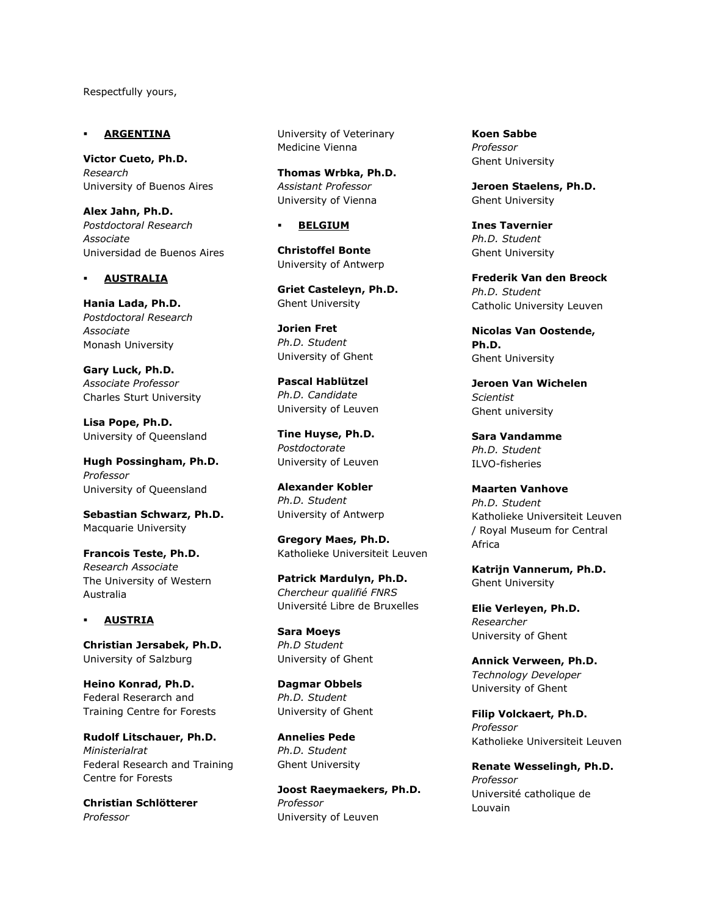Respectfully yours,

## **ARGENTINA**

**Victor Cueto, Ph.D.** *Research* University of Buenos Aires

**Alex Jahn, Ph.D.** *Postdoctoral Research Associate* Universidad de Buenos Aires

### **AUSTRALIA**

**Hania Lada, Ph.D.** *Postdoctoral Research Associate* Monash University

**Gary Luck, Ph.D.** *Associate Professor* Charles Sturt University

**Lisa Pope, Ph.D.** University of Queensland

**Hugh Possingham, Ph.D.** *Professor* University of Queensland

**Sebastian Schwarz, Ph.D.** Macquarie University

**Francois Teste, Ph.D.** *Research Associate* The University of Western Australia

### **AUSTRIA**

**Christian Jersabek, Ph.D.** University of Salzburg

**Heino Konrad, Ph.D.** Federal Reserarch and Training Centre for Forests

**Rudolf Litschauer, Ph.D.** *Ministerialrat* Federal Research and Training Centre for Forests

**Christian Schlötterer** *Professor*

University of Veterinary Medicine Vienna

**Thomas Wrbka, Ph.D.** *Assistant Professor* University of Vienna

### **BELGIUM**

**Christoffel Bonte** University of Antwerp

**Griet Casteleyn, Ph.D.** Ghent University

**Jorien Fret** *Ph.D. Student* University of Ghent

**Pascal Hablützel** *Ph.D. Candidate* University of Leuven

**Tine Huyse, Ph.D.** *Postdoctorate* University of Leuven

**Alexander Kobler** *Ph.D. Student* University of Antwerp

**Gregory Maes, Ph.D.** Katholieke Universiteit Leuven

**Patrick Mardulyn, Ph.D.** *Chercheur qualifié FNRS* Université Libre de Bruxelles

**Sara Moeys** *Ph.D Student* University of Ghent

**Dagmar Obbels** *Ph.D. Student* University of Ghent

**Annelies Pede** *Ph.D. Student* Ghent University

**Joost Raeymaekers, Ph.D.** *Professor* University of Leuven

**Koen Sabbe** *Professor* Ghent University

**Jeroen Staelens, Ph.D.** Ghent University

**Ines Tavernier** *Ph.D. Student* Ghent University

**Frederik Van den Breock** *Ph.D. Student* Catholic University Leuven

**Nicolas Van Oostende, Ph.D.** Ghent University

**Jeroen Van Wichelen** *Scientist* Ghent university

**Sara Vandamme** *Ph.D. Student* ILVO-fisheries

**Maarten Vanhove** *Ph.D. Student* Katholieke Universiteit Leuven / Royal Museum for Central Africa

**Katrijn Vannerum, Ph.D.** Ghent University

**Elie Verleyen, Ph.D.** *Researcher* University of Ghent

**Annick Verween, Ph.D.** *Technology Developer* University of Ghent

**Filip Volckaert, Ph.D.** *Professor* Katholieke Universiteit Leuven

**Renate Wesselingh, Ph.D.** *Professor* Université catholique de Louvain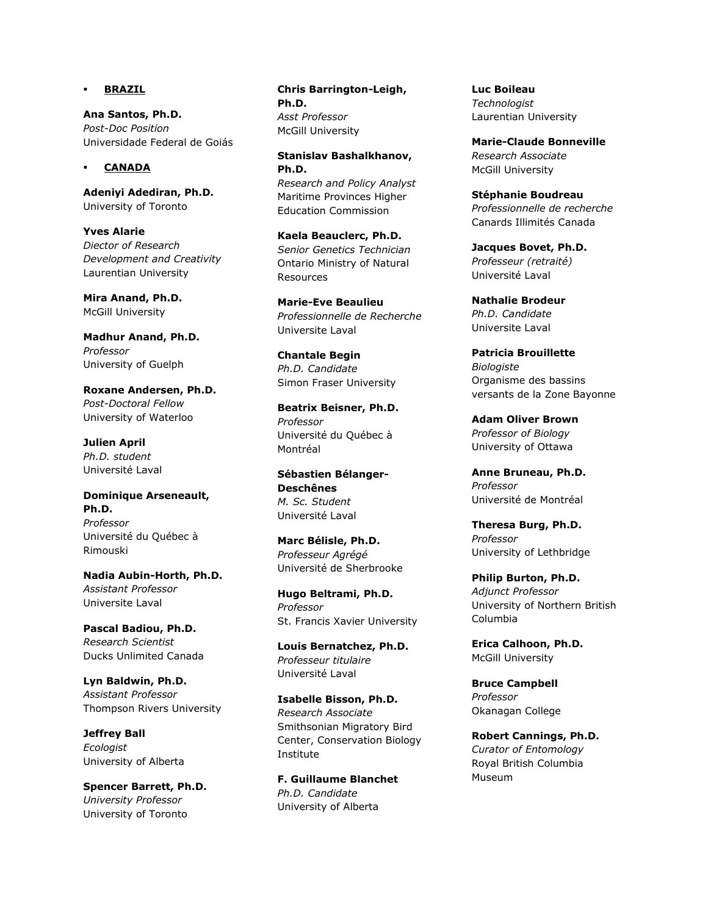### **BRAZIL**

**Ana Santos, Ph.D.** *Post-Doc Position* Universidade Federal de Goiás

### **CANADA**

**Adeniyi Adediran, Ph.D.** University of Toronto

**Yves Alarie** *Diector of Research Development and Creativity* Laurentian University

**Mira Anand, Ph.D.** McGill University

**Madhur Anand, Ph.D.** *Professor* University of Guelph

**Roxane Andersen, Ph.D.** *Post-Doctoral Fellow* University of Waterloo

**Julien April** *Ph.D. student* Université Laval

**Dominique Arseneault, Ph.D.** *Professor* Université du Québec à Rimouski

**Nadia Aubin-Horth, Ph.D.** *Assistant Professor* Universite Laval

**Pascal Badiou, Ph.D.** *Research Scientist* Ducks Unlimited Canada

**Lyn Baldwin, Ph.D.** *Assistant Professor* Thompson Rivers University

**Jeffrey Ball** *Ecologist* University of Alberta

**Spencer Barrett, Ph.D.** *University Professor* University of Toronto

**Chris Barrington-Leigh, Ph.D.** *Asst Professor* McGill University

**Stanislav Bashalkhanov, Ph.D.** *Research and Policy Analyst* Maritime Provinces Higher Education Commission

**Kaela Beauclerc, Ph.D.** *Senior Genetics Technician* Ontario Ministry of Natural Resources

**Marie-Eve Beaulieu** *Professionnelle de Recherche* Universite Laval

**Chantale Begin** *Ph.D. Candidate* Simon Fraser University

**Beatrix Beisner, Ph.D.** *Professor* Université du Québec à Montréal

**Sébastien Bélanger-Deschênes** *M. Sc. Student* Université Laval

**Marc Bélisle, Ph.D.** *Professeur Agrégé* Université de Sherbrooke

**Hugo Beltrami, Ph.D.** *Professor* St. Francis Xavier University

**Louis Bernatchez, Ph.D.** *Professeur titulaire* Université Laval

**Isabelle Bisson, Ph.D.** *Research Associate* Smithsonian Migratory Bird Center, Conservation Biology Institute

**F. Guillaume Blanchet** *Ph.D. Candidate* University of Alberta

**Luc Boileau** *Technologist* Laurentian University

**Marie-Claude Bonneville** *Research Associate* McGill University

**Stéphanie Boudreau** *Professionnelle de recherche* Canards Illimités Canada

**Jacques Bovet, Ph.D.** *Professeur (retraité)* Université Laval

**Nathalie Brodeur** *Ph.D. Candidate* Universite Laval

**Patricia Brouillette** *Biologiste* Organisme des bassins versants de la Zone Bayonne

**Adam Oliver Brown** *Professor of Biology* University of Ottawa

**Anne Bruneau, Ph.D.** *Professor* Université de Montréal

**Theresa Burg, Ph.D.** *Professor* University of Lethbridge

**Philip Burton, Ph.D.** *Adjunct Professor* University of Northern British Columbia

**Erica Calhoon, Ph.D.** McGill University

**Bruce Campbell** *Professor* Okanagan College

**Robert Cannings, Ph.D.** *Curator of Entomology* Royal British Columbia Museum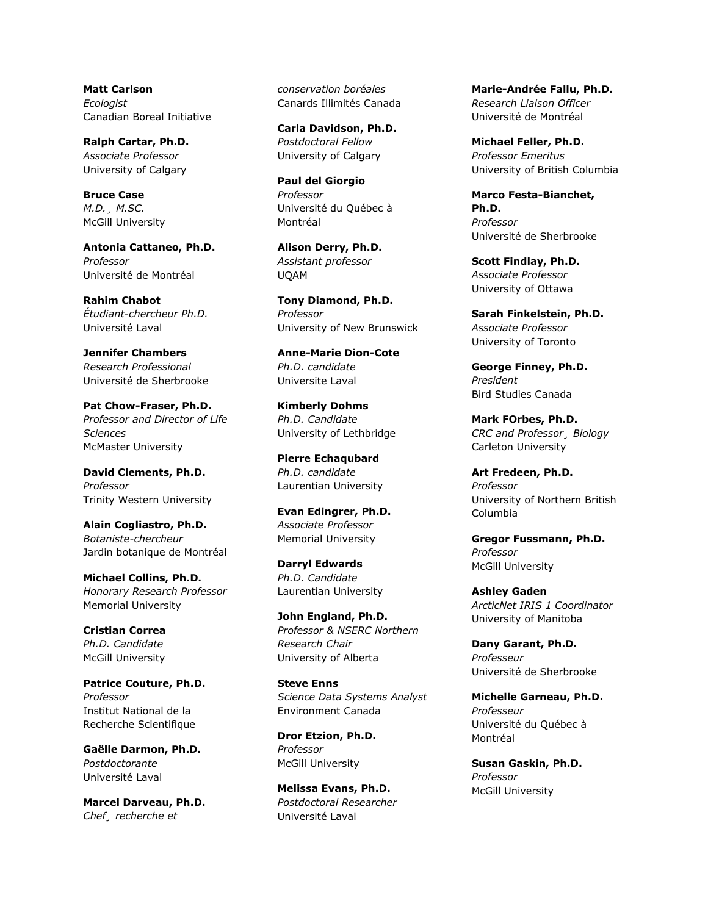**Matt Carlson** *Ecologist* Canadian Boreal Initiative

**Ralph Cartar, Ph.D.** *Associate Professor* University of Calgary

**Bruce Case** *M.D.¸ M.SC.* McGill University

**Antonia Cattaneo, Ph.D.** *Professor* Université de Montréal

**Rahim Chabot** *Étudiant-chercheur Ph.D.* Université Laval

**Jennifer Chambers** *Research Professional* Université de Sherbrooke

**Pat Chow-Fraser, Ph.D.** *Professor and Director of Life Sciences* McMaster University

**David Clements, Ph.D.** *Professor* Trinity Western University

**Alain Cogliastro, Ph.D.** *Botaniste-chercheur* Jardin botanique de Montréal

**Michael Collins, Ph.D.** *Honorary Research Professor* Memorial University

**Cristian Correa** *Ph.D. Candidate* McGill University

**Patrice Couture, Ph.D.** *Professor* Institut National de la Recherche Scientifique

**Gaëlle Darmon, Ph.D.** *Postdoctorante* Université Laval

**Marcel Darveau, Ph.D.** *Chef¸ recherche et* 

*conservation boréales* Canards Illimités Canada

**Carla Davidson, Ph.D.** *Postdoctoral Fellow* University of Calgary

**Paul del Giorgio** *Professor* Université du Québec à Montréal

**Alison Derry, Ph.D.** *Assistant professor* UQAM

**Tony Diamond, Ph.D.** *Professor* University of New Brunswick

**Anne-Marie Dion-Cote** *Ph.D. candidate* Universite Laval

**Kimberly Dohms** *Ph.D. Candidate* University of Lethbridge

**Pierre Echaqubard** *Ph.D. candidate* Laurentian University

**Evan Edingrer, Ph.D.** *Associate Professor* Memorial University

**Darryl Edwards** *Ph.D. Candidate* Laurentian University

**John England, Ph.D.** *Professor & NSERC Northern Research Chair* University of Alberta

**Steve Enns** *Science Data Systems Analyst* Environment Canada

**Dror Etzion, Ph.D.** *Professor* McGill University

**Melissa Evans, Ph.D.** *Postdoctoral Researcher* Université Laval

**Marie-Andrée Fallu, Ph.D.** *Research Liaison Officer* Université de Montréal

**Michael Feller, Ph.D.** *Professor Emeritus* University of British Columbia

**Marco Festa-Bianchet, Ph.D.** *Professor* Université de Sherbrooke

**Scott Findlay, Ph.D.** *Associate Professor* University of Ottawa

**Sarah Finkelstein, Ph.D.** *Associate Professor* University of Toronto

**George Finney, Ph.D.** *President* Bird Studies Canada

**Mark FOrbes, Ph.D.** *CRC and Professor¸ Biology* Carleton University

**Art Fredeen, Ph.D.** *Professor* University of Northern British Columbia

**Gregor Fussmann, Ph.D.** *Professor* McGill University

**Ashley Gaden** *ArcticNet IRIS 1 Coordinator* University of Manitoba

**Dany Garant, Ph.D.** *Professeur* Université de Sherbrooke

**Michelle Garneau, Ph.D.** *Professeur* Université du Québec à Montréal

**Susan Gaskin, Ph.D.** *Professor* McGill University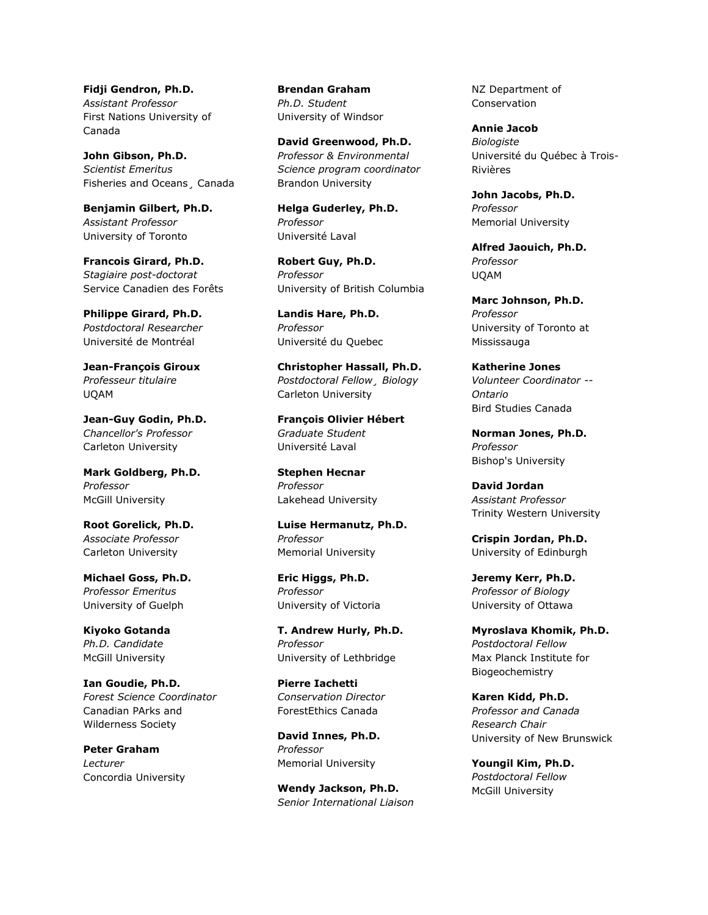**Fidji Gendron, Ph.D.** *Assistant Professor* First Nations University of Canada

**John Gibson, Ph.D.** *Scientist Emeritus* Fisheries and Oceans¸ Canada

**Benjamin Gilbert, Ph.D.** *Assistant Professor* University of Toronto

**Francois Girard, Ph.D.** *Stagiaire post-doctorat* Service Canadien des Forêts

**Philippe Girard, Ph.D.** *Postdoctoral Researcher* Université de Montréal

**Jean-François Giroux** *Professeur titulaire* UQAM

**Jean-Guy Godin, Ph.D.** *Chancellor's Professor* Carleton University

**Mark Goldberg, Ph.D.** *Professor* McGill University

**Root Gorelick, Ph.D.** *Associate Professor* Carleton University

**Michael Goss, Ph.D.** *Professor Emeritus* University of Guelph

**Kiyoko Gotanda** *Ph.D. Candidate* McGill University

**Ian Goudie, Ph.D.** *Forest Science Coordinator* Canadian PArks and Wilderness Society

**Peter Graham** *Lecturer* Concordia University

**Brendan Graham** *Ph.D. Student* University of Windsor

**David Greenwood, Ph.D.** *Professor & Environmental Science program coordinator* Brandon University

**Helga Guderley, Ph.D.** *Professor* Université Laval

**Robert Guy, Ph.D.** *Professor* University of British Columbia

**Landis Hare, Ph.D.** *Professor* Université du Quebec

**Christopher Hassall, Ph.D.** *Postdoctoral Fellow¸ Biology* Carleton University

**François Olivier Hébert** *Graduate Student* Université Laval

**Stephen Hecnar** *Professor* Lakehead University

**Luise Hermanutz, Ph.D.** *Professor* Memorial University

**Eric Higgs, Ph.D.** *Professor* University of Victoria

**T. Andrew Hurly, Ph.D.** *Professor* University of Lethbridge

**Pierre Iachetti** *Conservation Director* ForestEthics Canada

**David Innes, Ph.D.** *Professor* Memorial University

**Wendy Jackson, Ph.D.** *Senior International Liaison* NZ Department of Conservation

**Annie Jacob** *Biologiste* Université du Québec à Trois-Rivières

**John Jacobs, Ph.D.** *Professor* Memorial University

**Alfred Jaouich, Ph.D.** *Professor* UQAM

**Marc Johnson, Ph.D.** *Professor* University of Toronto at Mississauga

**Katherine Jones** *Volunteer Coordinator -- Ontario* Bird Studies Canada

**Norman Jones, Ph.D.** *Professor* Bishop's University

**David Jordan** *Assistant Professor* Trinity Western University

**Crispin Jordan, Ph.D.** University of Edinburgh

**Jeremy Kerr, Ph.D.** *Professor of Biology* University of Ottawa

**Myroslava Khomik, Ph.D.** *Postdoctoral Fellow* Max Planck Institute for Biogeochemistry

**Karen Kidd, Ph.D.** *Professor and Canada Research Chair* University of New Brunswick

**Youngil Kim, Ph.D.** *Postdoctoral Fellow* McGill University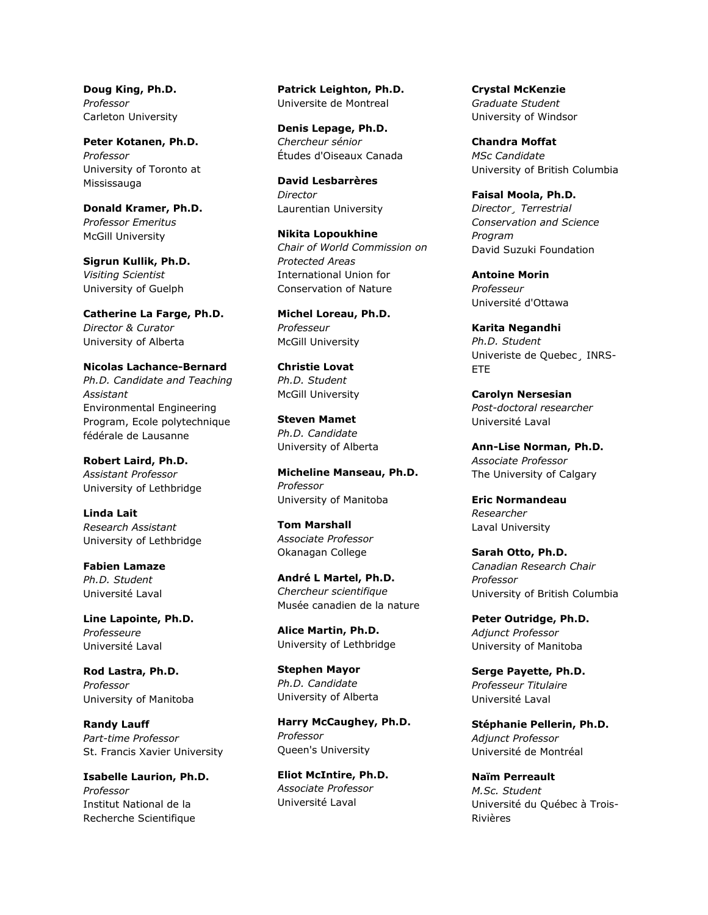**Doug King, Ph.D.** *Professor* Carleton University

**Peter Kotanen, Ph.D.** *Professor* University of Toronto at Mississauga

**Donald Kramer, Ph.D.** *Professor Emeritus* McGill University

**Sigrun Kullik, Ph.D.** *Visiting Scientist* University of Guelph

**Catherine La Farge, Ph.D.** *Director & Curator* University of Alberta

**Nicolas Lachance-Bernard** *Ph.D. Candidate and Teaching Assistant* Environmental Engineering Program, Ecole polytechnique fédérale de Lausanne

**Robert Laird, Ph.D.** *Assistant Professor* University of Lethbridge

**Linda Lait** *Research Assistant* University of Lethbridge

**Fabien Lamaze** *Ph.D. Student* Université Laval

**Line Lapointe, Ph.D.** *Professeure* Université Laval

**Rod Lastra, Ph.D.** *Professor* University of Manitoba

**Randy Lauff** *Part-time Professor* St. Francis Xavier University

**Isabelle Laurion, Ph.D.** *Professor* Institut National de la Recherche Scientifique

**Patrick Leighton, Ph.D.** Universite de Montreal

**Denis Lepage, Ph.D.** *Chercheur sénior* Études d'Oiseaux Canada

**David Lesbarrères** *Director* Laurentian University

**Nikita Lopoukhine** *Chair of World Commission on Protected Areas* International Union for Conservation of Nature

**Michel Loreau, Ph.D.** *Professeur* McGill University

**Christie Lovat** *Ph.D. Student* McGill University

**Steven Mamet** *Ph.D. Candidate* University of Alberta

**Micheline Manseau, Ph.D.** *Professor* University of Manitoba

**Tom Marshall** *Associate Professor* Okanagan College

**André L Martel, Ph.D.** *Chercheur scientifique* Musée canadien de la nature

**Alice Martin, Ph.D.** University of Lethbridge

**Stephen Mayor** *Ph.D. Candidate* University of Alberta

**Harry McCaughey, Ph.D.** *Professor* Queen's University

**Eliot McIntire, Ph.D.** *Associate Professor* Université Laval

**Crystal McKenzie** *Graduate Student* University of Windsor

**Chandra Moffat** *MSc Candidate* University of British Columbia

**Faisal Moola, Ph.D.** *Director¸ Terrestrial Conservation and Science Program* David Suzuki Foundation

**Antoine Morin** *Professeur* Université d'Ottawa

**Karita Negandhi** *Ph.D. Student* Univeriste de Quebec¸ INRS-ETE

**Carolyn Nersesian** *Post-doctoral researcher* Université Laval

**Ann-Lise Norman, Ph.D.** *Associate Professor* The University of Calgary

**Eric Normandeau** *Researcher* Laval University

**Sarah Otto, Ph.D.** *Canadian Research Chair Professor* University of British Columbia

**Peter Outridge, Ph.D.** *Adjunct Professor* University of Manitoba

**Serge Payette, Ph.D.** *Professeur Titulaire* Université Laval

**Stéphanie Pellerin, Ph.D.** *Adjunct Professor* Université de Montréal

**Naïm Perreault** *M.Sc. Student* Université du Québec à Trois-Rivières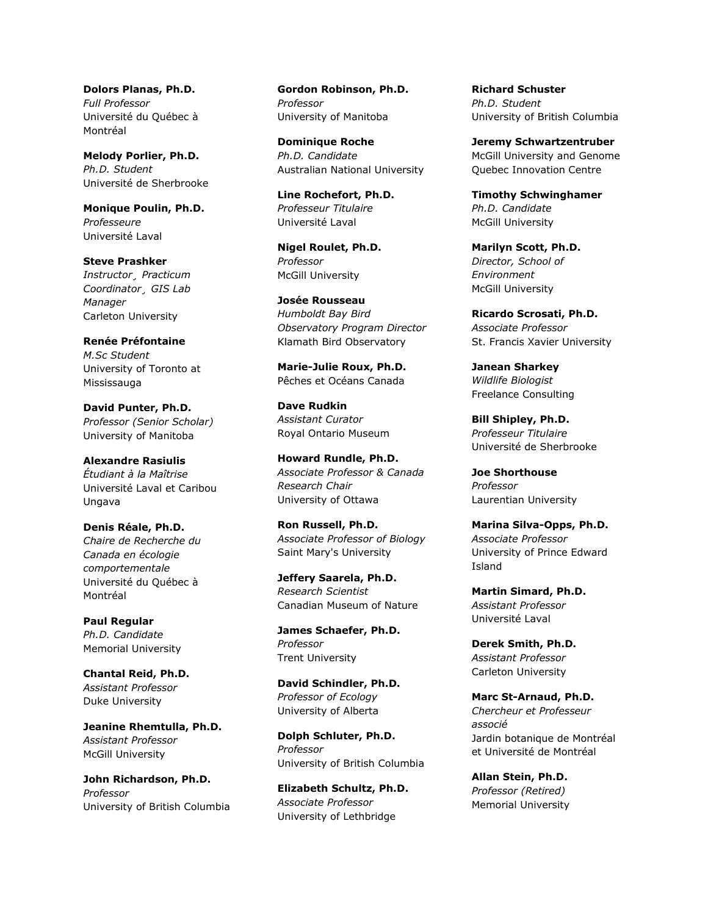**Dolors Planas, Ph.D.** *Full Professor* Université du Québec à Montréal

**Melody Porlier, Ph.D.** *Ph.D. Student* Université de Sherbrooke

**Monique Poulin, Ph.D.** *Professeure* Université Laval

**Steve Prashker** *Instructor¸ Practicum Coordinator¸ GIS Lab Manager* Carleton University

**Renée Préfontaine** *M.Sc Student* University of Toronto at Mississauga

**David Punter, Ph.D.** *Professor (Senior Scholar)* University of Manitoba

**Alexandre Rasiulis** *Étudiant à la Maîtrise* Université Laval et Caribou Ungava

**Denis Réale, Ph.D.** *Chaire de Recherche du Canada en écologie comportementale* Université du Québec à Montréal

**Paul Regular** *Ph.D. Candidate* Memorial University

**Chantal Reid, Ph.D.** *Assistant Professor* Duke University

**Jeanine Rhemtulla, Ph.D.** *Assistant Professor* McGill University

**John Richardson, Ph.D.** *Professor* University of British Columbia

**Gordon Robinson, Ph.D.** *Professor* University of Manitoba

**Dominique Roche** *Ph.D. Candidate* Australian National University

**Line Rochefort, Ph.D.** *Professeur Titulaire* Université Laval

**Nigel Roulet, Ph.D.** *Professor* McGill University

**Josée Rousseau** *Humboldt Bay Bird Observatory Program Director* Klamath Bird Observatory

**Marie-Julie Roux, Ph.D.** Pêches et Océans Canada

**Dave Rudkin** *Assistant Curator* Royal Ontario Museum

**Howard Rundle, Ph.D.** *Associate Professor & Canada Research Chair* University of Ottawa

**Ron Russell, Ph.D.** *Associate Professor of Biology* Saint Mary's University

**Jeffery Saarela, Ph.D.** *Research Scientist* Canadian Museum of Nature

**James Schaefer, Ph.D.** *Professor* Trent University

**David Schindler, Ph.D.** *Professor of Ecology* University of Alberta

**Dolph Schluter, Ph.D.** *Professor* University of British Columbia

**Elizabeth Schultz, Ph.D.** *Associate Professor* University of Lethbridge

**Richard Schuster** *Ph.D. Student* University of British Columbia

**Jeremy Schwartzentruber** McGill University and Genome Quebec Innovation Centre

**Timothy Schwinghamer** *Ph.D. Candidate* McGill University

**Marilyn Scott, Ph.D.** *Director, School of Environment* McGill University

**Ricardo Scrosati, Ph.D.** *Associate Professor* St. Francis Xavier University

**Janean Sharkey** *Wildlife Biologist* Freelance Consulting

**Bill Shipley, Ph.D.** *Professeur Titulaire* Université de Sherbrooke

**Joe Shorthouse** *Professor* Laurentian University

**Marina Silva-Opps, Ph.D.** *Associate Professor* University of Prince Edward Island

**Martin Simard, Ph.D.** *Assistant Professor* Université Laval

**Derek Smith, Ph.D.** *Assistant Professor* Carleton University

**Marc St-Arnaud, Ph.D.** *Chercheur et Professeur associé* Jardin botanique de Montréal et Université de Montréal

**Allan Stein, Ph.D.** *Professor (Retired)* Memorial University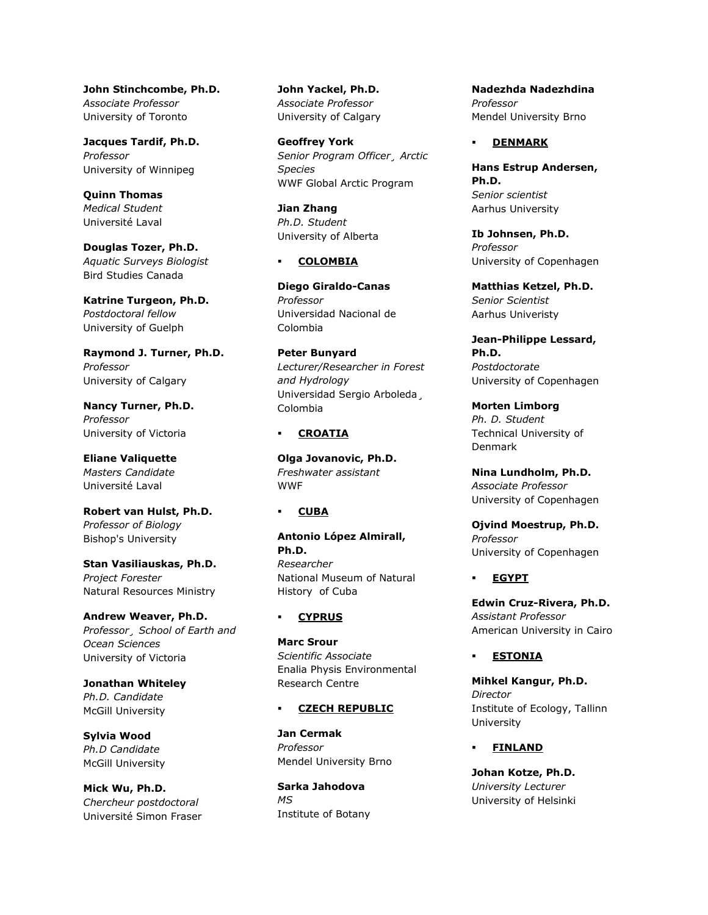**John Stinchcombe, Ph.D.** *Associate Professor* University of Toronto

**Jacques Tardif, Ph.D.** *Professor* University of Winnipeg

**Quinn Thomas** *Medical Student* Université Laval

**Douglas Tozer, Ph.D.** *Aquatic Surveys Biologist* Bird Studies Canada

**Katrine Turgeon, Ph.D.** *Postdoctoral fellow* University of Guelph

**Raymond J. Turner, Ph.D.** *Professor* University of Calgary

**Nancy Turner, Ph.D.** *Professor* University of Victoria

**Eliane Valiquette** *Masters Candidate* Université Laval

**Robert van Hulst, Ph.D.** *Professor of Biology* Bishop's University

**Stan Vasiliauskas, Ph.D.** *Project Forester* Natural Resources Ministry

**Andrew Weaver, Ph.D.** *Professor¸ School of Earth and Ocean Sciences* University of Victoria

**Jonathan Whiteley** *Ph.D. Candidate* McGill University

**Sylvia Wood** *Ph.D Candidate* McGill University

**Mick Wu, Ph.D.** *Chercheur postdoctoral* Université Simon Fraser **John Yackel, Ph.D.** *Associate Professor* University of Calgary

**Geoffrey York** *Senior Program Officer¸ Arctic Species* WWF Global Arctic Program

**Jian Zhang** *Ph.D. Student* University of Alberta

## **COLOMBIA**

**Diego Giraldo-Canas** *Professor* Universidad Nacional de Colombia

**Peter Bunyard** *Lecturer/Researcher in Forest and Hydrology* Universidad Sergio Arboleda¸ Colombia

## **CROATIA**

**Olga Jovanovic, Ph.D.** *Freshwater assistant* **WWF** 

# **CUBA**

**Antonio López Almirall, Ph.D.** *Researcher* National Museum of Natural History of Cuba

# **CYPRUS**

**Marc Srour** *Scientific Associate* Enalia Physis Environmental Research Centre

## **CZECH REPUBLIC**

**Jan Cermak** *Professor* Mendel University Brno

**Sarka Jahodova** *MS* Institute of Botany **Nadezhda Nadezhdina** *Professor* Mendel University Brno

## **DENMARK**

**Hans Estrup Andersen, Ph.D.** *Senior scientist* Aarhus University

**Ib Johnsen, Ph.D.** *Professor* University of Copenhagen

**Matthias Ketzel, Ph.D.** *Senior Scientist* Aarhus Univeristy

**Jean-Philippe Lessard, Ph.D.** *Postdoctorate* University of Copenhagen

**Morten Limborg** *Ph. D. Student* Technical University of Denmark

**Nina Lundholm, Ph.D.** *Associate Professor* University of Copenhagen

**Ojvind Moestrup, Ph.D.** *Professor* University of Copenhagen

## **EGYPT**

**Edwin Cruz-Rivera, Ph.D.** *Assistant Professor* American University in Cairo

# **ESTONIA**

**Mihkel Kangur, Ph.D.** *Director* Institute of Ecology, Tallinn University

**FINLAND**

**Johan Kotze, Ph.D.** *University Lecturer* University of Helsinki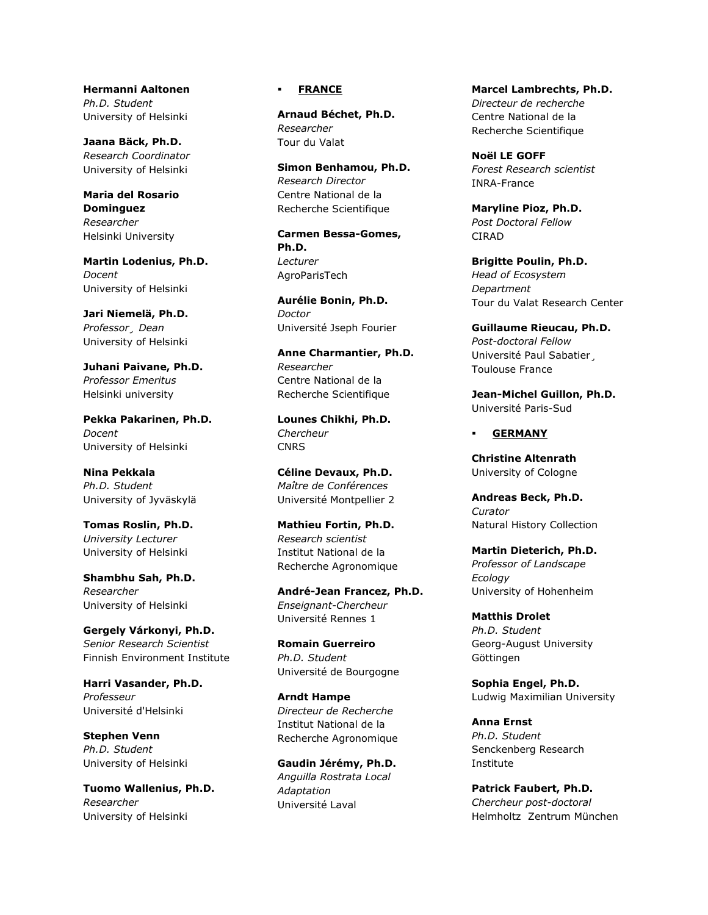**Hermanni Aaltonen** *Ph.D. Student* University of Helsinki

**Jaana Bäck, Ph.D.** *Research Coordinator* University of Helsinki

**Maria del Rosario Dominguez** *Researcher* Helsinki University

**Martin Lodenius, Ph.D.** *Docent* University of Helsinki

**Jari Niemelä, Ph.D.** *Professor¸ Dean* University of Helsinki

**Juhani Paivane, Ph.D.** *Professor Emeritus* Helsinki university

**Pekka Pakarinen, Ph.D.** *Docent* University of Helsinki

**Nina Pekkala** *Ph.D. Student* University of Jyväskylä

**Tomas Roslin, Ph.D.** *University Lecturer* University of Helsinki

**Shambhu Sah, Ph.D.** *Researcher* University of Helsinki

**Gergely Várkonyi, Ph.D.** *Senior Research Scientist* Finnish Environment Institute

**Harri Vasander, Ph.D.** *Professeur* Université d'Helsinki

**Stephen Venn** *Ph.D. Student* University of Helsinki

**Tuomo Wallenius, Ph.D.** *Researcher* University of Helsinki

# **FRANCE**

**Arnaud Béchet, Ph.D.** *Researcher* Tour du Valat

**Simon Benhamou, Ph.D.** *Research Director* Centre National de la Recherche Scientifique

**Carmen Bessa-Gomes, Ph.D.** *Lecturer* AgroParisTech

**Aurélie Bonin, Ph.D.** *Doctor* Université Jseph Fourier

**Anne Charmantier, Ph.D.** *Researcher* Centre National de la Recherche Scientifique

**Lounes Chikhi, Ph.D.** *Chercheur* **CNRS** 

**Céline Devaux, Ph.D.** *Maître de Conférences* Université Montpellier 2

**Mathieu Fortin, Ph.D.** *Research scientist* Institut National de la Recherche Agronomique

**André-Jean Francez, Ph.D.** *Enseignant-Chercheur* Université Rennes 1

**Romain Guerreiro** *Ph.D. Student* Université de Bourgogne

**Arndt Hampe** *Directeur de Recherche* Institut National de la Recherche Agronomique

**Gaudin Jérémy, Ph.D.** *Anguilla Rostrata Local Adaptation* Université Laval

**Marcel Lambrechts, Ph.D.** *Directeur de recherche* Centre National de la Recherche Scientifique

**Noël LE GOFF** *Forest Research scientist* INRA-France

**Maryline Pioz, Ph.D.** *Post Doctoral Fellow* **CIRAD** 

**Brigitte Poulin, Ph.D.** *Head of Ecosystem Department* Tour du Valat Research Center

**Guillaume Rieucau, Ph.D.** *Post-doctoral Fellow* Université Paul Sabatier, Toulouse France

**Jean-Michel Guillon, Ph.D.** Université Paris-Sud

### **GERMANY**

**Christine Altenrath** University of Cologne

**Andreas Beck, Ph.D.** *Curator* Natural History Collection

**Martin Dieterich, Ph.D.** *Professor of Landscape Ecology* University of Hohenheim

**Matthis Drolet** *Ph.D. Student* Georg-August University Göttingen

**Sophia Engel, Ph.D.** Ludwig Maximilian University

**Anna Ernst** *Ph.D. Student* Senckenberg Research Institute

**Patrick Faubert, Ph.D.** *Chercheur post-doctoral* Helmholtz Zentrum München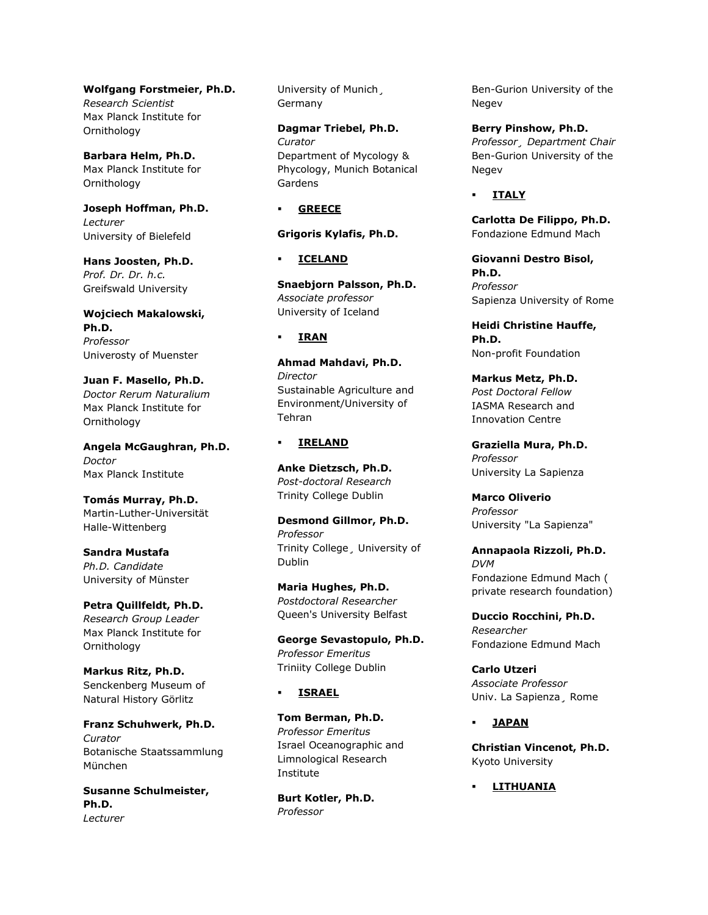**Wolfgang Forstmeier, Ph.D.** *Research Scientist* Max Planck Institute for **Ornithology** 

**Barbara Helm, Ph.D.** Max Planck Institute for **Ornithology** 

**Joseph Hoffman, Ph.D.** *Lecturer* University of Bielefeld

**Hans Joosten, Ph.D.** *Prof. Dr. Dr. h.c.* Greifswald University

**Wojciech Makalowski, Ph.D.** *Professor* Univerosty of Muenster

**Juan F. Masello, Ph.D.** *Doctor Rerum Naturalium* Max Planck Institute for Ornithology

**Angela McGaughran, Ph.D.** *Doctor* Max Planck Institute

**Tomás Murray, Ph.D.** Martin-Luther-Universität Halle-Wittenberg

**Sandra Mustafa** *Ph.D. Candidate* University of Münster

**Petra Quillfeldt, Ph.D.** *Research Group Leader* Max Planck Institute for Ornithology

**Markus Ritz, Ph.D.** Senckenberg Museum of Natural History Görlitz

**Franz Schuhwerk, Ph.D.** *Curator* Botanische Staatssammlung München

**Susanne Schulmeister, Ph.D.** *Lecturer*

University of Munich¸ Germany

**Dagmar Triebel, Ph.D.** *Curator* Department of Mycology & Phycology, Munich Botanical Gardens

**GREECE**

**Grigoris Kylafis, Ph.D.**

**ICELAND**

**Snaebjorn Palsson, Ph.D.** *Associate professor* University of Iceland

## **IRAN**

**Ahmad Mahdavi, Ph.D.** *Director* Sustainable Agriculture and Environment/University of Tehran

## **IRELAND**

**Anke Dietzsch, Ph.D.** *Post-doctoral Research* Trinity College Dublin

**Desmond Gillmor, Ph.D.** *Professor* Trinity College¸ University of Dublin

**Maria Hughes, Ph.D.** *Postdoctoral Researcher* Queen's University Belfast

**George Sevastopulo, Ph.D.** *Professor Emeritus* Triniity College Dublin

# **ISRAEL**

**Tom Berman, Ph.D.** *Professor Emeritus* Israel Oceanographic and Limnological Research Institute

**Burt Kotler, Ph.D.** *Professor*

Ben-Gurion University of the Negev

**Berry Pinshow, Ph.D.** *Professor¸ Department Chair* Ben-Gurion University of the Negev

# **ITALY**

**Carlotta De Filippo, Ph.D.** Fondazione Edmund Mach

**Giovanni Destro Bisol, Ph.D.** *Professor* Sapienza University of Rome

**Heidi Christine Hauffe, Ph.D.** Non-profit Foundation

**Markus Metz, Ph.D.** *Post Doctoral Fellow* IASMA Research and Innovation Centre

**Graziella Mura, Ph.D.** *Professor* University La Sapienza

**Marco Oliverio** *Professor* University "La Sapienza"

**Annapaola Rizzoli, Ph.D.** *DVM* Fondazione Edmund Mach ( private research foundation)

**Duccio Rocchini, Ph.D.** *Researcher* Fondazione Edmund Mach

**Carlo Utzeri** *Associate Professor* Univ. La Sapienza¸ Rome

# **JAPAN**

**Christian Vincenot, Ph.D.** Kyoto University

**LITHUANIA**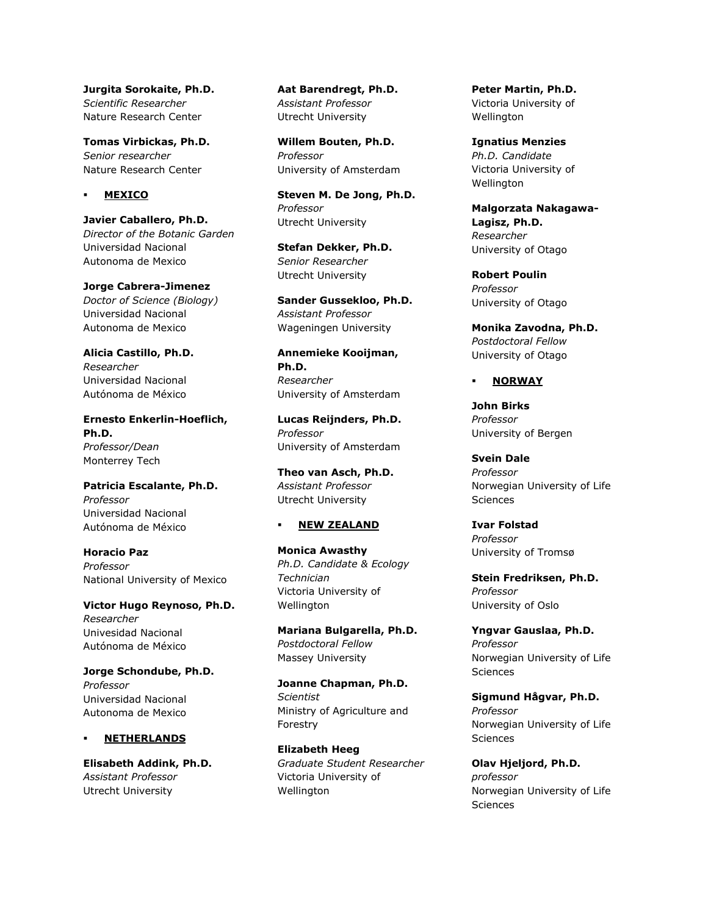**Jurgita Sorokaite, Ph.D.** *Scientific Researcher* Nature Research Center

**Tomas Virbickas, Ph.D.** *Senior researcher* Nature Research Center

### **MEXICO**

**Javier Caballero, Ph.D.** *Director of the Botanic Garden* Universidad Nacional Autonoma de Mexico

**Jorge Cabrera-Jimenez** *Doctor of Science (Biology)* Universidad Nacional Autonoma de Mexico

**Alicia Castillo, Ph.D.** *Researcher* Universidad Nacional Autónoma de México

**Ernesto Enkerlin-Hoeflich, Ph.D.** *Professor/Dean* Monterrey Tech

**Patricia Escalante, Ph.D.** *Professor* Universidad Nacional Autónoma de México

**Horacio Paz** *Professor* National University of Mexico

**Victor Hugo Reynoso, Ph.D.** *Researcher* Univesidad Nacional Autónoma de México

**Jorge Schondube, Ph.D.** *Professor* Universidad Nacional Autonoma de Mexico

## **NETHERLANDS**

**Elisabeth Addink, Ph.D.** *Assistant Professor* Utrecht University

**Aat Barendregt, Ph.D.** *Assistant Professor* Utrecht University

**Willem Bouten, Ph.D.** *Professor* University of Amsterdam

**Steven M. De Jong, Ph.D.** *Professor* Utrecht University

**Stefan Dekker, Ph.D.** *Senior Researcher* Utrecht University

**Sander Gussekloo, Ph.D.** *Assistant Professor* Wageningen University

**Annemieke Kooijman, Ph.D.** *Researcher* University of Amsterdam

**Lucas Reijnders, Ph.D.** *Professor* University of Amsterdam

**Theo van Asch, Ph.D.** *Assistant Professor* Utrecht University

#### **NEW ZEALAND**

**Monica Awasthy** *Ph.D. Candidate & Ecology Technician* Victoria University of Wellington

**Mariana Bulgarella, Ph.D.** *Postdoctoral Fellow* Massey University

**Joanne Chapman, Ph.D.** *Scientist* Ministry of Agriculture and Forestry

**Elizabeth Heeg** *Graduate Student Researcher* Victoria University of Wellington

**Peter Martin, Ph.D.** Victoria University of Wellington

**Ignatius Menzies** *Ph.D. Candidate* Victoria University of Wellington

**Malgorzata Nakagawa-Lagisz, Ph.D.** *Researcher* University of Otago

**Robert Poulin** *Professor* University of Otago

**Monika Zavodna, Ph.D.** *Postdoctoral Fellow* University of Otago

# **NORWAY**

**John Birks** *Professor* University of Bergen

**Svein Dale** *Professor* Norwegian University of Life **Sciences** 

**Ivar Folstad** *Professor* University of Tromsø

**Stein Fredriksen, Ph.D.** *Professor* University of Oslo

**Yngvar Gauslaa, Ph.D.** *Professor* Norwegian University of Life **Sciences** 

**Sigmund Hågvar, Ph.D.** *Professor* Norwegian University of Life **Sciences** 

**Olav Hjeljord, Ph.D.** *professor* Norwegian University of Life **Sciences**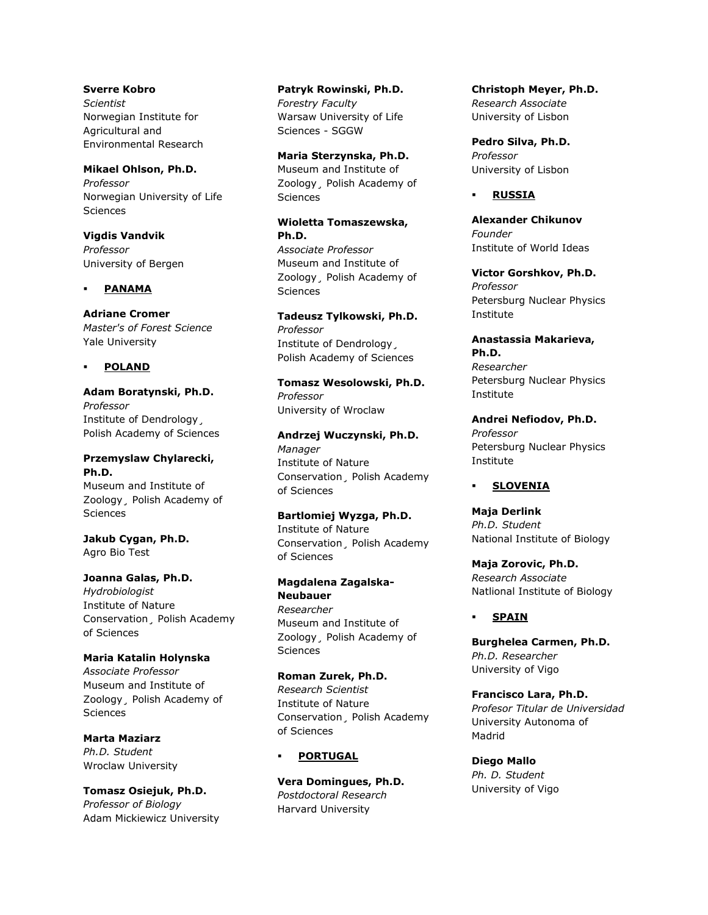**Sverre Kobro** *Scientist* Norwegian Institute for Agricultural and Environmental Research

**Mikael Ohlson, Ph.D.** *Professor* Norwegian University of Life Sciences

**Vigdis Vandvik** *Professor* University of Bergen

## **PANAMA**

**Adriane Cromer** *Master's of Forest Science* Yale University

## **POLAND**

**Adam Boratynski, Ph.D.** *Professor* Institute of Dendrology¸ Polish Academy of Sciences

# **Przemyslaw Chylarecki, Ph.D.** Museum and Institute of

Zoology¸ Polish Academy of **Sciences** 

**Jakub Cygan, Ph.D.** Agro Bio Test

**Joanna Galas, Ph.D.** *Hydrobiologist* Institute of Nature Conservation¸ Polish Academy of Sciences

**Maria Katalin Holynska** *Associate Professor* Museum and Institute of Zoology¸ Polish Academy of **Sciences** 

**Marta Maziarz** *Ph.D. Student* Wroclaw University

**Tomasz Osiejuk, Ph.D.** *Professor of Biology* Adam Mickiewicz University **Patryk Rowinski, Ph.D.** *Forestry Faculty* Warsaw University of Life Sciences - SGGW

**Maria Sterzynska, Ph.D.** Museum and Institute of Zoology¸ Polish Academy of Sciences

**Wioletta Tomaszewska, Ph.D.** *Associate Professor* Museum and Institute of Zoology¸ Polish Academy of **Sciences** 

**Tadeusz Tylkowski, Ph.D.** *Professor* Institute of Dendrology¸ Polish Academy of Sciences

**Tomasz Wesolowski, Ph.D.** *Professor* University of Wroclaw

**Andrzej Wuczynski, Ph.D.** *Manager* Institute of Nature Conservation¸ Polish Academy of Sciences

**Bartlomiej Wyzga, Ph.D.** Institute of Nature Conservation¸ Polish Academy of Sciences

**Magdalena Zagalska-Neubauer** *Researcher* Museum and Institute of Zoology¸ Polish Academy of **Sciences** 

**Roman Zurek, Ph.D.** *Research Scientist* Institute of Nature Conservation¸ Polish Academy of Sciences

**PORTUGAL**

**Vera Domingues, Ph.D.** *Postdoctoral Research* Harvard University

**Christoph Meyer, Ph.D.** *Research Associate* University of Lisbon

**Pedro Silva, Ph.D.** *Professor* University of Lisbon

## **RUSSIA**

**Alexander Chikunov** *Founder* Institute of World Ideas

**Victor Gorshkov, Ph.D.** *Professor* Petersburg Nuclear Physics Institute

**Anastassia Makarieva, Ph.D.** *Researcher* Petersburg Nuclear Physics Institute

**Andrei Nefiodov, Ph.D.** *Professor* Petersburg Nuclear Physics Institute

## **SLOVENIA**

**Maja Derlink** *Ph.D. Student* National Institute of Biology

**Maja Zorovic, Ph.D.** *Research Associate* Natlional Institute of Biology

# **SPAIN**

**Burghelea Carmen, Ph.D.** *Ph.D. Researcher* University of Vigo

**Francisco Lara, Ph.D.** *Profesor Titular de Universidad* University Autonoma of Madrid

**Diego Mallo** *Ph. D. Student* University of Vigo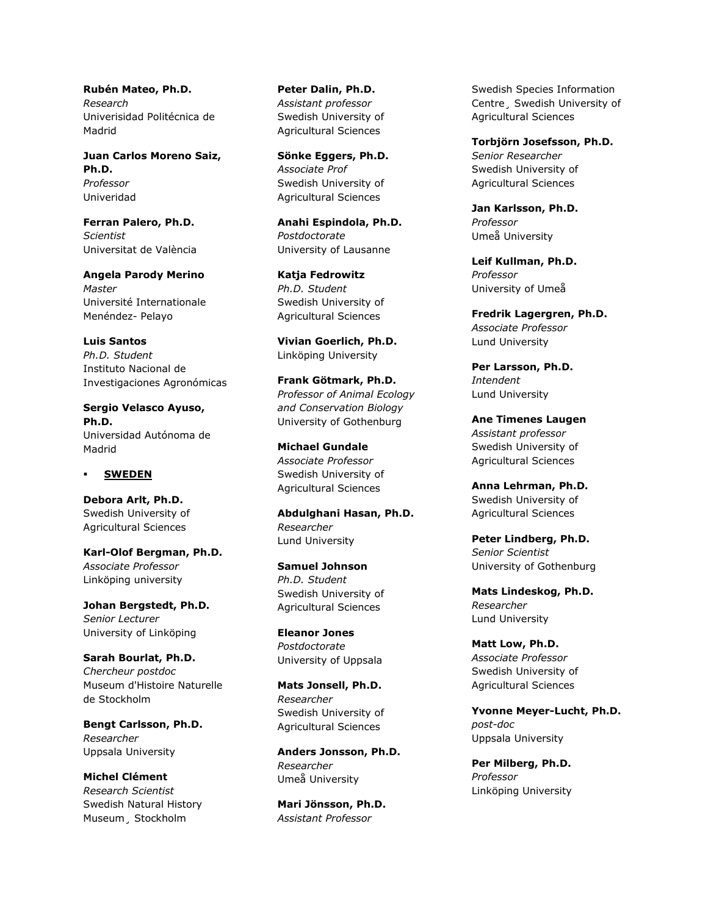**Rubén Mateo, Ph.D.** *Research* Univerisidad Politécnica de Madrid

**Juan Carlos Moreno Saiz, Ph.D.** *Professor* Univeridad

**Ferran Palero, Ph.D.** *Scientist* Universitat de València

**Angela Parody Merino** *Master* Université Internationale Menéndez- Pelayo

**Luis Santos** *Ph.D. Student* Instituto Nacional de Investigaciones Agronómicas

**Sergio Velasco Ayuso, Ph.D.** Universidad Autónoma de Madrid

### **SWEDEN**

**Debora Arlt, Ph.D.** Swedish University of Agricultural Sciences

**Karl-Olof Bergman, Ph.D.** *Associate Professor* Linköping university

**Johan Bergstedt, Ph.D.** *Senior Lecturer* University of Linköping

**Sarah Bourlat, Ph.D.** *Chercheur postdoc* Museum d'Histoire Naturelle de Stockholm

**Bengt Carlsson, Ph.D.** *Researcher* Uppsala University

**Michel Clément** *Research Scientist* Swedish Natural History Museum¸ Stockholm

**Peter Dalin, Ph.D.** *Assistant professor* Swedish University of Agricultural Sciences

**Sönke Eggers, Ph.D.** *Associate Prof* Swedish University of Agricultural Sciences

**Anahi Espindola, Ph.D.** *Postdoctorate* University of Lausanne

**Katja Fedrowitz** *Ph.D. Student* Swedish University of Agricultural Sciences

**Vivian Goerlich, Ph.D.** Linköping University

**Frank Götmark, Ph.D.** *Professor of Animal Ecology and Conservation Biology* University of Gothenburg

**Michael Gundale** *Associate Professor* Swedish University of Agricultural Sciences

**Abdulghani Hasan, Ph.D.** *Researcher* Lund University

**Samuel Johnson** *Ph.D. Student* Swedish University of Agricultural Sciences

**Eleanor Jones** *Postdoctorate* University of Uppsala

**Mats Jonsell, Ph.D.** *Researcher* Swedish University of Agricultural Sciences

**Anders Jonsson, Ph.D.** *Researcher* Umeå University

**Mari Jönsson, Ph.D.** *Assistant Professor*

Swedish Species Information Centre¸ Swedish University of Agricultural Sciences

**Torbjörn Josefsson, Ph.D.** *Senior Researcher* Swedish University of Agricultural Sciences

**Jan Karlsson, Ph.D.** *Professor* Umeå University

**Leif Kullman, Ph.D.** *Professor* University of Umeå

**Fredrik Lagergren, Ph.D.** *Associate Professor* Lund University

**Per Larsson, Ph.D.** *Intendent* Lund University

**Ane Timenes Laugen** *Assistant professor* Swedish University of Agricultural Sciences

**Anna Lehrman, Ph.D.** Swedish University of Agricultural Sciences

**Peter Lindberg, Ph.D.** *Senior Scientist* University of Gothenburg

**Mats Lindeskog, Ph.D.** *Researcher* Lund University

**Matt Low, Ph.D.** *Associate Professor* Swedish University of Agricultural Sciences

**Yvonne Meyer-Lucht, Ph.D.** *post-doc* Uppsala University

**Per Milberg, Ph.D.** *Professor* Linköping University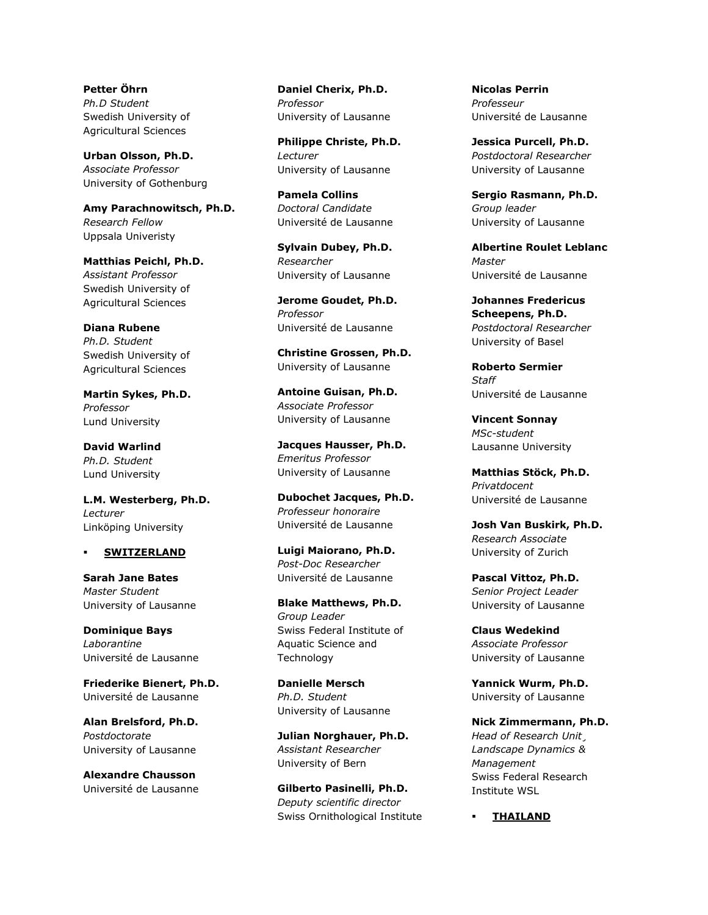**Petter Öhrn** *Ph.D Student* Swedish University of Agricultural Sciences

**Urban Olsson, Ph.D.** *Associate Professor* University of Gothenburg

**Amy Parachnowitsch, Ph.D.** *Research Fellow* Uppsala Univeristy

**Matthias Peichl, Ph.D.** *Assistant Professor* Swedish University of Agricultural Sciences

**Diana Rubene** *Ph.D. Student* Swedish University of Agricultural Sciences

**Martin Sykes, Ph.D.** *Professor* Lund University

**David Warlind** *Ph.D. Student* Lund University

**L.M. Westerberg, Ph.D.** *Lecturer* Linköping University

## **SWITZERLAND**

**Sarah Jane Bates** *Master Student* University of Lausanne

**Dominique Bays** *Laborantine* Université de Lausanne

**Friederike Bienert, Ph.D.** Université de Lausanne

**Alan Brelsford, Ph.D.** *Postdoctorate* University of Lausanne

**Alexandre Chausson** Université de Lausanne **Daniel Cherix, Ph.D.** *Professor* University of Lausanne

**Philippe Christe, Ph.D.** *Lecturer* University of Lausanne

**Pamela Collins** *Doctoral Candidate* Université de Lausanne

**Sylvain Dubey, Ph.D.** *Researcher* University of Lausanne

**Jerome Goudet, Ph.D.** *Professor* Université de Lausanne

**Christine Grossen, Ph.D.** University of Lausanne

**Antoine Guisan, Ph.D.** *Associate Professor* University of Lausanne

**Jacques Hausser, Ph.D.** *Emeritus Professor* University of Lausanne

**Dubochet Jacques, Ph.D.** *Professeur honoraire* Université de Lausanne

**Luigi Maiorano, Ph.D.** *Post-Doc Researcher* Université de Lausanne

**Blake Matthews, Ph.D.** *Group Leader* Swiss Federal Institute of Aquatic Science and Technology

**Danielle Mersch** *Ph.D. Student* University of Lausanne

**Julian Norghauer, Ph.D.** *Assistant Researcher* University of Bern

**Gilberto Pasinelli, Ph.D.** *Deputy scientific director* Swiss Ornithological Institute **Nicolas Perrin** *Professeur* Université de Lausanne

**Jessica Purcell, Ph.D.** *Postdoctoral Researcher* University of Lausanne

**Sergio Rasmann, Ph.D.** *Group leader* University of Lausanne

**Albertine Roulet Leblanc** *Master* Université de Lausanne

**Johannes Fredericus Scheepens, Ph.D.** *Postdoctoral Researcher* University of Basel

**Roberto Sermier** *Staff* Université de Lausanne

**Vincent Sonnay** *MSc-student* Lausanne University

**Matthias Stöck, Ph.D.** *Privatdocent* Université de Lausanne

**Josh Van Buskirk, Ph.D.** *Research Associate* University of Zurich

**Pascal Vittoz, Ph.D.** *Senior Project Leader* University of Lausanne

**Claus Wedekind** *Associate Professor* University of Lausanne

**Yannick Wurm, Ph.D.** University of Lausanne

**Nick Zimmermann, Ph.D.** *Head of Research Unit¸ Landscape Dynamics & Management* Swiss Federal Research Institute WSL

**THAILAND**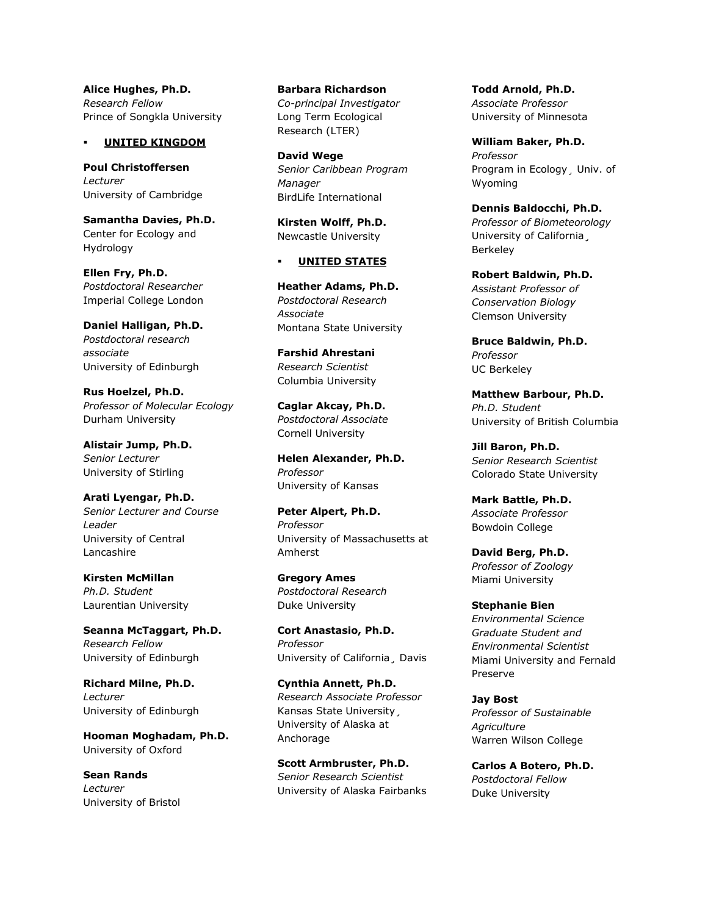**Alice Hughes, Ph.D.** *Research Fellow* Prince of Songkla University

### **UNITED KINGDOM**

**Poul Christoffersen** *Lecturer* University of Cambridge

**Samantha Davies, Ph.D.** Center for Ecology and Hydrology

**Ellen Fry, Ph.D.** *Postdoctoral Researcher* Imperial College London

**Daniel Halligan, Ph.D.** *Postdoctoral research associate* University of Edinburgh

**Rus Hoelzel, Ph.D.** *Professor of Molecular Ecology* Durham University

**Alistair Jump, Ph.D.** *Senior Lecturer* University of Stirling

**Arati Lyengar, Ph.D.** *Senior Lecturer and Course Leader* University of Central Lancashire

**Kirsten McMillan** *Ph.D. Student* Laurentian University

**Seanna McTaggart, Ph.D.** *Research Fellow* University of Edinburgh

**Richard Milne, Ph.D.** *Lecturer* University of Edinburgh

**Hooman Moghadam, Ph.D.** University of Oxford

**Sean Rands** *Lecturer* University of Bristol

**Barbara Richardson** *Co-principal Investigator* Long Term Ecological Research (LTER)

**David Wege** *Senior Caribbean Program Manager* BirdLife International

**Kirsten Wolff, Ph.D.** Newcastle University

## **UNITED STATES**

**Heather Adams, Ph.D.** *Postdoctoral Research Associate* Montana State University

**Farshid Ahrestani** *Research Scientist* Columbia University

**Caglar Akcay, Ph.D.** *Postdoctoral Associate* Cornell University

**Helen Alexander, Ph.D.** *Professor* University of Kansas

**Peter Alpert, Ph.D.** *Professor* University of Massachusetts at Amherst

**Gregory Ames** *Postdoctoral Research* Duke University

**Cort Anastasio, Ph.D.** *Professor* University of California¸ Davis

**Cynthia Annett, Ph.D.** *Research Associate Professor* Kansas State University¸ University of Alaska at Anchorage

**Scott Armbruster, Ph.D.** *Senior Research Scientist* University of Alaska Fairbanks **Todd Arnold, Ph.D.** *Associate Professor* University of Minnesota

**William Baker, Ph.D.** *Professor* Program in Ecology¸ Univ. of Wyoming

**Dennis Baldocchi, Ph.D.** *Professor of Biometeorology* University of California¸ Berkeley

**Robert Baldwin, Ph.D.** *Assistant Professor of Conservation Biology* Clemson University

**Bruce Baldwin, Ph.D.** *Professor* UC Berkeley

**Matthew Barbour, Ph.D.** *Ph.D. Student* University of British Columbia

**Jill Baron, Ph.D.** *Senior Research Scientist* Colorado State University

**Mark Battle, Ph.D.** *Associate Professor* Bowdoin College

**David Berg, Ph.D.** *Professor of Zoology* Miami University

**Stephanie Bien** *Environmental Science Graduate Student and Environmental Scientist* Miami University and Fernald Preserve

**Jay Bost** *Professor of Sustainable Agriculture* Warren Wilson College

**Carlos A Botero, Ph.D.** *Postdoctoral Fellow* Duke University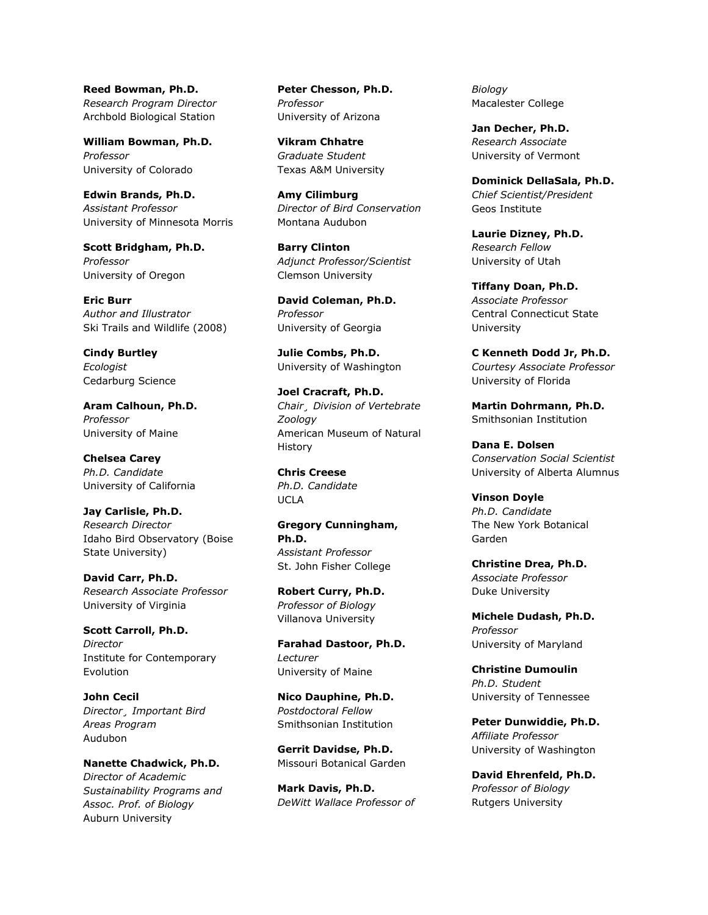**Reed Bowman, Ph.D.** *Research Program Director* Archbold Biological Station

**William Bowman, Ph.D.** *Professor* University of Colorado

**Edwin Brands, Ph.D.** *Assistant Professor* University of Minnesota Morris

**Scott Bridgham, Ph.D.** *Professor* University of Oregon

**Eric Burr** *Author and Illustrator* Ski Trails and Wildlife (2008)

**Cindy Burtley** *Ecologist* Cedarburg Science

**Aram Calhoun, Ph.D.** *Professor* University of Maine

**Chelsea Carey** *Ph.D. Candidate* University of California

**Jay Carlisle, Ph.D.** *Research Director* Idaho Bird Observatory (Boise State University)

**David Carr, Ph.D.** *Research Associate Professor* University of Virginia

**Scott Carroll, Ph.D.** *Director* Institute for Contemporary Evolution

**John Cecil** *Director¸ Important Bird Areas Program* Audubon

**Nanette Chadwick, Ph.D.** *Director of Academic Sustainability Programs and Assoc. Prof. of Biology* Auburn University

**Peter Chesson, Ph.D.** *Professor* University of Arizona

**Vikram Chhatre** *Graduate Student* Texas A&M University

**Amy Cilimburg** *Director of Bird Conservation* Montana Audubon

**Barry Clinton** *Adjunct Professor/Scientist* Clemson University

**David Coleman, Ph.D.** *Professor* University of Georgia

**Julie Combs, Ph.D.** University of Washington

**Joel Cracraft, Ph.D.** *Chair¸ Division of Vertebrate Zoology* American Museum of Natural History

**Chris Creese** *Ph.D. Candidate* UCLA

**Gregory Cunningham, Ph.D.** *Assistant Professor* St. John Fisher College

**Robert Curry, Ph.D.** *Professor of Biology* Villanova University

**Farahad Dastoor, Ph.D.** *Lecturer* University of Maine

**Nico Dauphine, Ph.D.** *Postdoctoral Fellow* Smithsonian Institution

**Gerrit Davidse, Ph.D.** Missouri Botanical Garden

**Mark Davis, Ph.D.** *DeWitt Wallace Professor of*  *Biology* Macalester College

**Jan Decher, Ph.D.** *Research Associate* University of Vermont

**Dominick DellaSala, Ph.D.** *Chief Scientist/President* Geos Institute

**Laurie Dizney, Ph.D.** *Research Fellow* University of Utah

**Tiffany Doan, Ph.D.** *Associate Professor* Central Connecticut State University

**C Kenneth Dodd Jr, Ph.D.** *Courtesy Associate Professor* University of Florida

**Martin Dohrmann, Ph.D.** Smithsonian Institution

**Dana E. Dolsen** *Conservation Social Scientist* University of Alberta Alumnus

**Vinson Doyle** *Ph.D. Candidate* The New York Botanical Garden

**Christine Drea, Ph.D.** *Associate Professor* Duke University

**Michele Dudash, Ph.D.** *Professor* University of Maryland

**Christine Dumoulin** *Ph.D. Student* University of Tennessee

**Peter Dunwiddie, Ph.D.** *Affiliate Professor* University of Washington

**David Ehrenfeld, Ph.D.** *Professor of Biology* Rutgers University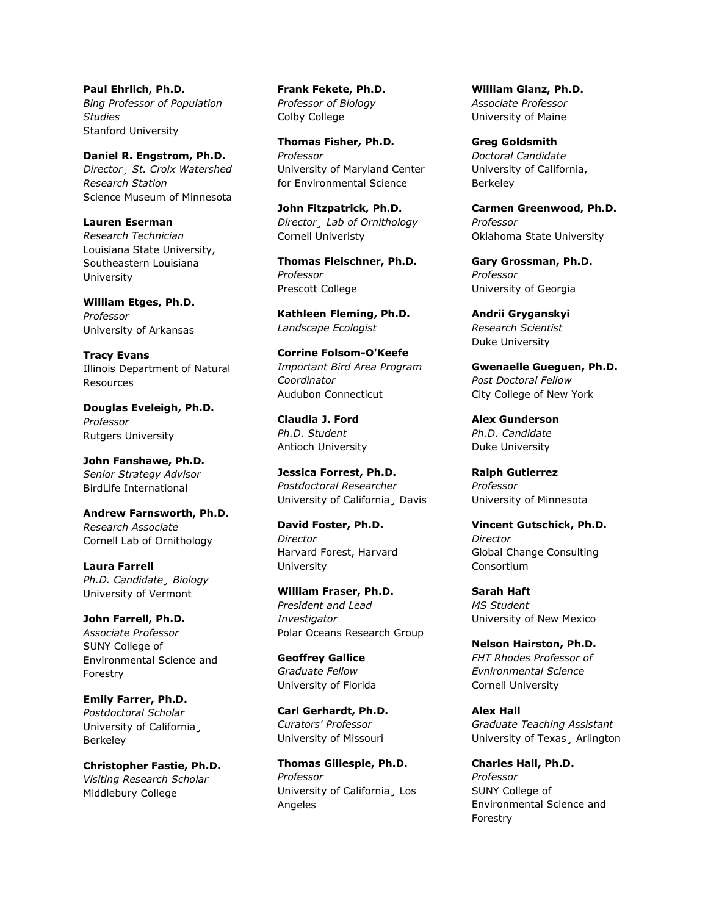**Paul Ehrlich, Ph.D.** *Bing Professor of Population Studies* Stanford University

**Daniel R. Engstrom, Ph.D.** *Director¸ St. Croix Watershed Research Station* Science Museum of Minnesota

**Lauren Eserman** *Research Technician* Louisiana State University, Southeastern Louisiana University

**William Etges, Ph.D.** *Professor* University of Arkansas

**Tracy Evans** Illinois Department of Natural Resources

**Douglas Eveleigh, Ph.D.** *Professor* Rutgers University

**John Fanshawe, Ph.D.** *Senior Strategy Advisor* BirdLife International

**Andrew Farnsworth, Ph.D.** *Research Associate* Cornell Lab of Ornithology

**Laura Farrell** *Ph.D. Candidate¸ Biology* University of Vermont

**John Farrell, Ph.D.** *Associate Professor* SUNY College of Environmental Science and Forestry

**Emily Farrer, Ph.D.** *Postdoctoral Scholar* University of California¸ Berkeley

**Christopher Fastie, Ph.D.** *Visiting Research Scholar* Middlebury College

**Frank Fekete, Ph.D.** *Professor of Biology* Colby College

**Thomas Fisher, Ph.D.** *Professor* University of Maryland Center for Environmental Science

**John Fitzpatrick, Ph.D.** *Director¸ Lab of Ornithology* Cornell Univeristy

**Thomas Fleischner, Ph.D.** *Professor* Prescott College

**Kathleen Fleming, Ph.D.** *Landscape Ecologist*

**Corrine Folsom-O'Keefe** *Important Bird Area Program Coordinator* Audubon Connecticut

**Claudia J. Ford** *Ph.D. Student* Antioch University

**Jessica Forrest, Ph.D.** *Postdoctoral Researcher* University of California¸ Davis

**David Foster, Ph.D.** *Director* Harvard Forest, Harvard University

**William Fraser, Ph.D.** *President and Lead Investigator* Polar Oceans Research Group

**Geoffrey Gallice** *Graduate Fellow* University of Florida

**Carl Gerhardt, Ph.D.** *Curators' Professor* University of Missouri

**Thomas Gillespie, Ph.D.** *Professor* University of California¸ Los Angeles

**William Glanz, Ph.D.** *Associate Professor* University of Maine

**Greg Goldsmith** *Doctoral Candidate* University of California, Berkeley

**Carmen Greenwood, Ph.D.** *Professor* Oklahoma State University

**Gary Grossman, Ph.D.** *Professor* University of Georgia

**Andrii Gryganskyi** *Research Scientist* Duke University

**Gwenaelle Gueguen, Ph.D.** *Post Doctoral Fellow* City College of New York

**Alex Gunderson** *Ph.D. Candidate* Duke University

**Ralph Gutierrez** *Professor* University of Minnesota

**Vincent Gutschick, Ph.D.** *Director* Global Change Consulting Consortium

**Sarah Haft** *MS Student* University of New Mexico

**Nelson Hairston, Ph.D.** *FHT Rhodes Professor of Evnironmental Science* Cornell University

**Alex Hall** *Graduate Teaching Assistant* University of Texas¸ Arlington

**Charles Hall, Ph.D.** *Professor* SUNY College of Environmental Science and Forestry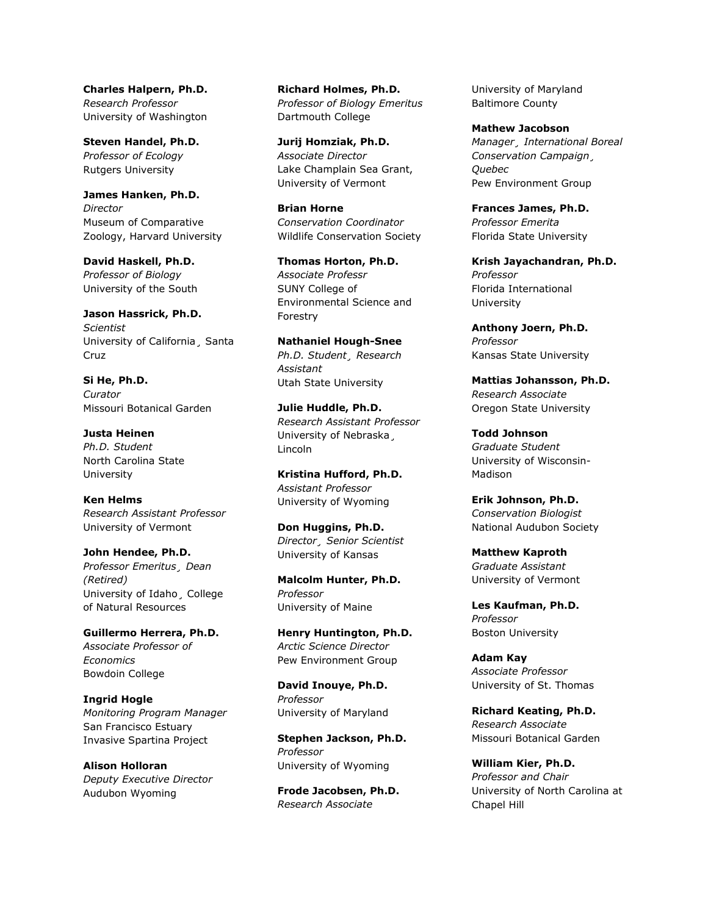**Charles Halpern, Ph.D.** *Research Professor* University of Washington

**Steven Handel, Ph.D.** *Professor of Ecology* Rutgers University

**James Hanken, Ph.D.** *Director* Museum of Comparative Zoology, Harvard University

**David Haskell, Ph.D.** *Professor of Biology* University of the South

**Jason Hassrick, Ph.D.** *Scientist* University of California¸ Santa Cruz

**Si He, Ph.D.** *Curator* Missouri Botanical Garden

**Justa Heinen** *Ph.D. Student* North Carolina State University

**Ken Helms** *Research Assistant Professor* University of Vermont

**John Hendee, Ph.D.** *Professor Emeritus¸ Dean (Retired)* University of Idaho¸ College of Natural Resources

**Guillermo Herrera, Ph.D.** *Associate Professor of Economics* Bowdoin College

**Ingrid Hogle** *Monitoring Program Manager* San Francisco Estuary Invasive Spartina Project

**Alison Holloran** *Deputy Executive Director* Audubon Wyoming

**Richard Holmes, Ph.D.** *Professor of Biology Emeritus* Dartmouth College

**Jurij Homziak, Ph.D.** *Associate Director* Lake Champlain Sea Grant, University of Vermont

**Brian Horne** *Conservation Coordinator* Wildlife Conservation Society

**Thomas Horton, Ph.D.** *Associate Professr* SUNY College of Environmental Science and Forestry

**Nathaniel Hough-Snee** *Ph.D. Student¸ Research Assistant* Utah State University

**Julie Huddle, Ph.D.** *Research Assistant Professor* University of Nebraska¸ Lincoln

**Kristina Hufford, Ph.D.** *Assistant Professor* University of Wyoming

**Don Huggins, Ph.D.** *Director¸ Senior Scientist* University of Kansas

**Malcolm Hunter, Ph.D.** *Professor* University of Maine

**Henry Huntington, Ph.D.** *Arctic Science Director* Pew Environment Group

**David Inouye, Ph.D.** *Professor* University of Maryland

**Stephen Jackson, Ph.D.** *Professor* University of Wyoming

**Frode Jacobsen, Ph.D.** *Research Associate*

University of Maryland Baltimore County

**Mathew Jacobson** *Manager¸ International Boreal Conservation Campaign¸ Quebec* Pew Environment Group

**Frances James, Ph.D.** *Professor Emerita* Florida State University

**Krish Jayachandran, Ph.D.** *Professor* Florida International University

**Anthony Joern, Ph.D.** *Professor* Kansas State University

**Mattias Johansson, Ph.D.** *Research Associate* Oregon State University

**Todd Johnson** *Graduate Student* University of Wisconsin-Madison

**Erik Johnson, Ph.D.** *Conservation Biologist* National Audubon Society

**Matthew Kaproth** *Graduate Assistant* University of Vermont

**Les Kaufman, Ph.D.** *Professor* Boston University

**Adam Kay** *Associate Professor* University of St. Thomas

**Richard Keating, Ph.D.** *Research Associate* Missouri Botanical Garden

**William Kier, Ph.D.** *Professor and Chair* University of North Carolina at Chapel Hill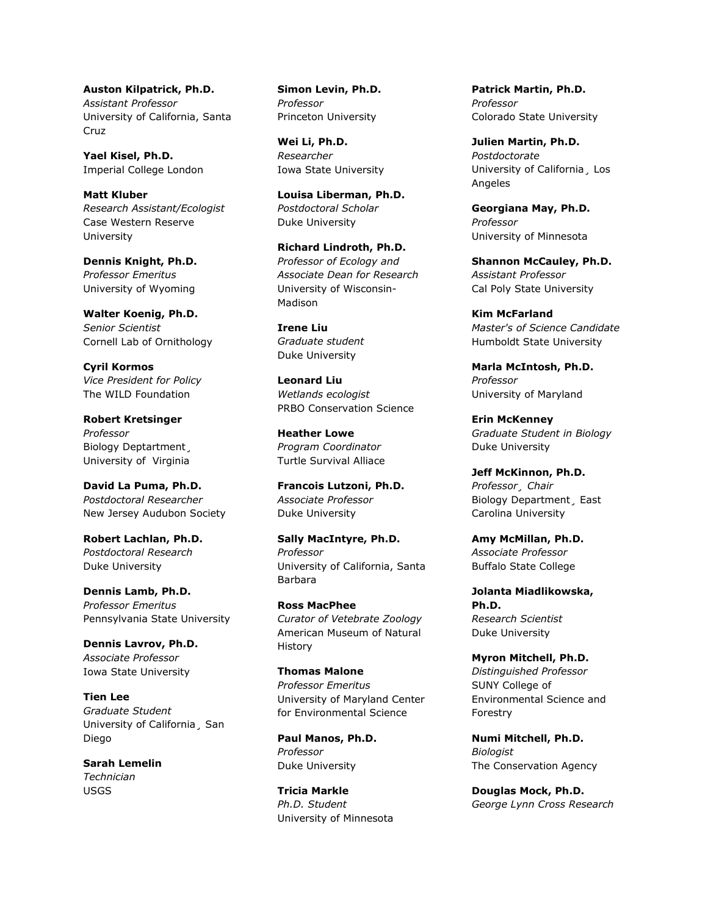**Auston Kilpatrick, Ph.D.** *Assistant Professor* University of California, Santa Cruz

**Yael Kisel, Ph.D.** Imperial College London

**Matt Kluber** *Research Assistant/Ecologist* Case Western Reserve University

**Dennis Knight, Ph.D.** *Professor Emeritus* University of Wyoming

**Walter Koenig, Ph.D.** *Senior Scientist* Cornell Lab of Ornithology

**Cyril Kormos** *Vice President for Policy* The WILD Foundation

**Robert Kretsinger** *Professor* Biology Deptartment¸ University of Virginia

**David La Puma, Ph.D.** *Postdoctoral Researcher* New Jersey Audubon Society

**Robert Lachlan, Ph.D.** *Postdoctoral Research* Duke University

**Dennis Lamb, Ph.D.** *Professor Emeritus* Pennsylvania State University

**Dennis Lavrov, Ph.D.** *Associate Professor* Iowa State University

**Tien Lee** *Graduate Student* University of California¸ San Diego

**Sarah Lemelin** *Technician* USGS

**Simon Levin, Ph.D.** *Professor* Princeton University

**Wei Li, Ph.D.** *Researcher* Iowa State University

**Louisa Liberman, Ph.D.** *Postdoctoral Scholar* Duke University

**Richard Lindroth, Ph.D.** *Professor of Ecology and Associate Dean for Research* University of Wisconsin-Madison

**Irene Liu** *Graduate student* Duke University

**Leonard Liu** *Wetlands ecologist* PRBO Conservation Science

**Heather Lowe** *Program Coordinator* Turtle Survival Alliace

**Francois Lutzoni, Ph.D.** *Associate Professor* Duke University

**Sally MacIntyre, Ph.D.** *Professor* University of California, Santa Barbara

**Ross MacPhee** *Curator of Vetebrate Zoology* American Museum of Natural History

**Thomas Malone** *Professor Emeritus* University of Maryland Center for Environmental Science

**Paul Manos, Ph.D.** *Professor* Duke University

**Tricia Markle** *Ph.D. Student* University of Minnesota **Patrick Martin, Ph.D.** *Professor* Colorado State University

**Julien Martin, Ph.D.** *Postdoctorate* University of California¸ Los Angeles

**Georgiana May, Ph.D.** *Professor* University of Minnesota

**Shannon McCauley, Ph.D.** *Assistant Professor* Cal Poly State University

**Kim McFarland** *Master's of Science Candidate* Humboldt State University

**Marla McIntosh, Ph.D.** *Professor* University of Maryland

**Erin McKenney** *Graduate Student in Biology* Duke University

**Jeff McKinnon, Ph.D.** *Professor¸ Chair* Biology Department¸ East Carolina University

**Amy McMillan, Ph.D.** *Associate Professor* Buffalo State College

**Jolanta Miadlikowska, Ph.D.** *Research Scientist* Duke University

**Myron Mitchell, Ph.D.** *Distinguished Professor* SUNY College of Environmental Science and Forestry

**Numi Mitchell, Ph.D.** *Biologist* The Conservation Agency

**Douglas Mock, Ph.D.** *George Lynn Cross Research*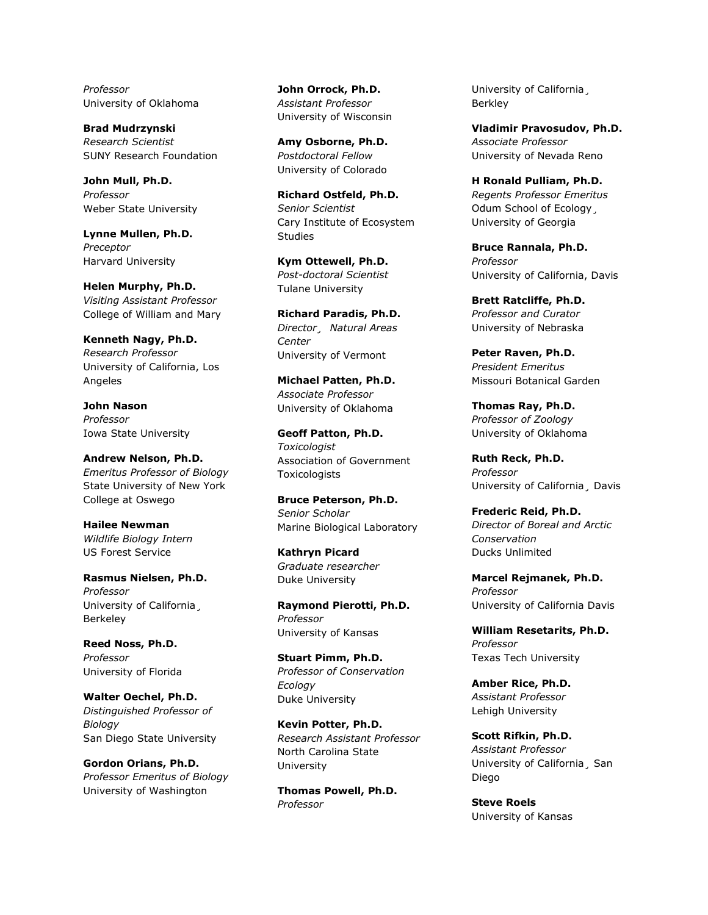*Professor* University of Oklahoma

**Brad Mudrzynski** *Research Scientist* SUNY Research Foundation

**John Mull, Ph.D.** *Professor* Weber State University

**Lynne Mullen, Ph.D.** *Preceptor* Harvard University

**Helen Murphy, Ph.D.** *Visiting Assistant Professor* College of William and Mary

**Kenneth Nagy, Ph.D.** *Research Professor* University of California, Los Angeles

**John Nason** *Professor* Iowa State University

**Andrew Nelson, Ph.D.** *Emeritus Professor of Biology* State University of New York College at Oswego

**Hailee Newman** *Wildlife Biology Intern* US Forest Service

**Rasmus Nielsen, Ph.D.** *Professor* University of California¸ Berkeley

**Reed Noss, Ph.D.** *Professor* University of Florida

**Walter Oechel, Ph.D.** *Distinguished Professor of Biology* San Diego State University

**Gordon Orians, Ph.D.** *Professor Emeritus of Biology* University of Washington

**John Orrock, Ph.D.** *Assistant Professor* University of Wisconsin

**Amy Osborne, Ph.D.** *Postdoctoral Fellow* University of Colorado

**Richard Ostfeld, Ph.D.** *Senior Scientist* Cary Institute of Ecosystem Studies

**Kym Ottewell, Ph.D.** *Post-doctoral Scientist* Tulane University

**Richard Paradis, Ph.D.** *Director¸ Natural Areas Center* University of Vermont

**Michael Patten, Ph.D.** *Associate Professor* University of Oklahoma

**Geoff Patton, Ph.D.** *Toxicologist* Association of Government Toxicologists

**Bruce Peterson, Ph.D.** *Senior Scholar* Marine Biological Laboratory

**Kathryn Picard** *Graduate researcher* Duke University

**Raymond Pierotti, Ph.D.** *Professor* University of Kansas

**Stuart Pimm, Ph.D.** *Professor of Conservation Ecology* Duke University

**Kevin Potter, Ph.D.** *Research Assistant Professor* North Carolina State University

**Thomas Powell, Ph.D.** *Professor*

University of California¸ Berkley

**Vladimir Pravosudov, Ph.D.** *Associate Professor* University of Nevada Reno

**H Ronald Pulliam, Ph.D.** *Regents Professor Emeritus* Odum School of Ecology, University of Georgia

**Bruce Rannala, Ph.D.** *Professor* University of California, Davis

**Brett Ratcliffe, Ph.D.** *Professor and Curator* University of Nebraska

**Peter Raven, Ph.D.** *President Emeritus* Missouri Botanical Garden

**Thomas Ray, Ph.D.** *Professor of Zoology* University of Oklahoma

**Ruth Reck, Ph.D.** *Professor* University of California¸ Davis

**Frederic Reid, Ph.D.** *Director of Boreal and Arctic Conservation* Ducks Unlimited

**Marcel Rejmanek, Ph.D.** *Professor* University of California Davis

**William Resetarits, Ph.D.** *Professor* Texas Tech University

**Amber Rice, Ph.D.** *Assistant Professor* Lehigh University

**Scott Rifkin, Ph.D.** *Assistant Professor* University of California¸ San Diego

**Steve Roels** University of Kansas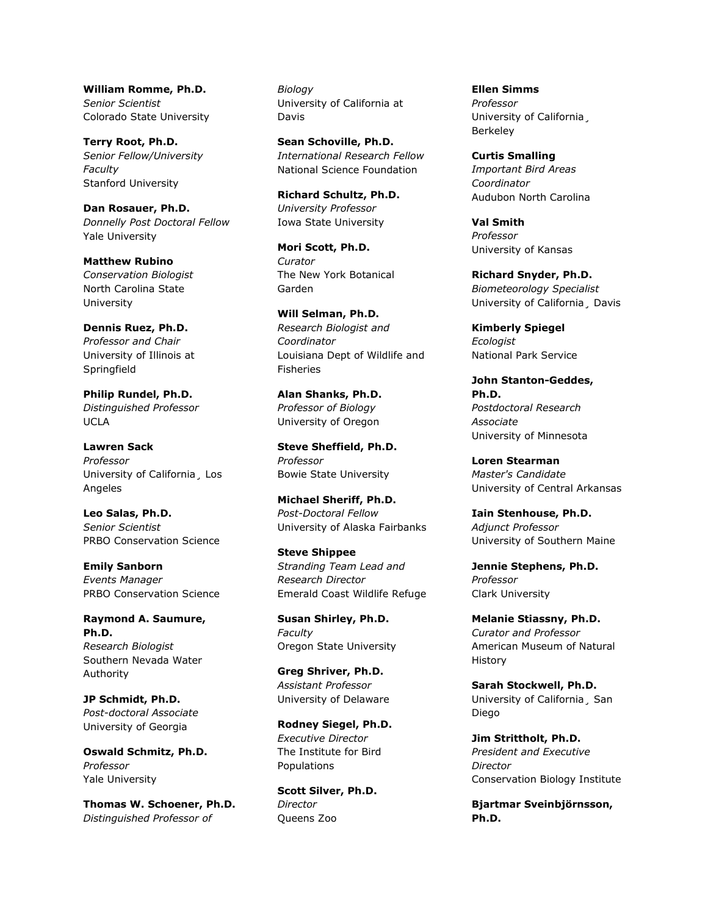**William Romme, Ph.D.** *Senior Scientist* Colorado State University

**Terry Root, Ph.D.** *Senior Fellow/University Faculty* Stanford University

**Dan Rosauer, Ph.D.** *Donnelly Post Doctoral Fellow* Yale University

**Matthew Rubino** *Conservation Biologist* North Carolina State University

**Dennis Ruez, Ph.D.** *Professor and Chair* University of Illinois at Springfield

**Philip Rundel, Ph.D.** *Distinguished Professor* UCLA

**Lawren Sack** *Professor* University of California¸ Los Angeles

**Leo Salas, Ph.D.** *Senior Scientist* PRBO Conservation Science

**Emily Sanborn** *Events Manager* PRBO Conservation Science

**Raymond A. Saumure, Ph.D.** *Research Biologist* Southern Nevada Water Authority

**JP Schmidt, Ph.D.** *Post-doctoral Associate* University of Georgia

**Oswald Schmitz, Ph.D.** *Professor* Yale University

**Thomas W. Schoener, Ph.D.** *Distinguished Professor of* 

*Biology* University of California at Davis

**Sean Schoville, Ph.D.** *International Research Fellow* National Science Foundation

**Richard Schultz, Ph.D.** *University Professor* Iowa State University

**Mori Scott, Ph.D.** *Curator* The New York Botanical Garden

**Will Selman, Ph.D.** *Research Biologist and Coordinator* Louisiana Dept of Wildlife and Fisheries

**Alan Shanks, Ph.D.** *Professor of Biology* University of Oregon

**Steve Sheffield, Ph.D.** *Professor* Bowie State University

**Michael Sheriff, Ph.D.** *Post-Doctoral Fellow* University of Alaska Fairbanks

**Steve Shippee** *Stranding Team Lead and Research Director* Emerald Coast Wildlife Refuge

**Susan Shirley, Ph.D.** *Faculty* Oregon State University

**Greg Shriver, Ph.D.** *Assistant Professor* University of Delaware

**Rodney Siegel, Ph.D.** *Executive Director* The Institute for Bird Populations

**Scott Silver, Ph.D.** *Director* Queens Zoo

**Ellen Simms** *Professor* University of California¸ Berkeley

**Curtis Smalling** *Important Bird Areas Coordinator* Audubon North Carolina

**Val Smith** *Professor* University of Kansas

**Richard Snyder, Ph.D.** *Biometeorology Specialist* University of California¸ Davis

**Kimberly Spiegel** *Ecologist* National Park Service

**John Stanton-Geddes, Ph.D.** *Postdoctoral Research Associate* University of Minnesota

**Loren Stearman** *Master's Candidate* University of Central Arkansas

**Iain Stenhouse, Ph.D.** *Adjunct Professor* University of Southern Maine

**Jennie Stephens, Ph.D.** *Professor* Clark University

**Melanie Stiassny, Ph.D.** *Curator and Professor* American Museum of Natural History

**Sarah Stockwell, Ph.D.** University of California¸ San Diego

**Jim Strittholt, Ph.D.** *President and Executive Director* Conservation Biology Institute

**Bjartmar Sveinbjörnsson, Ph.D.**